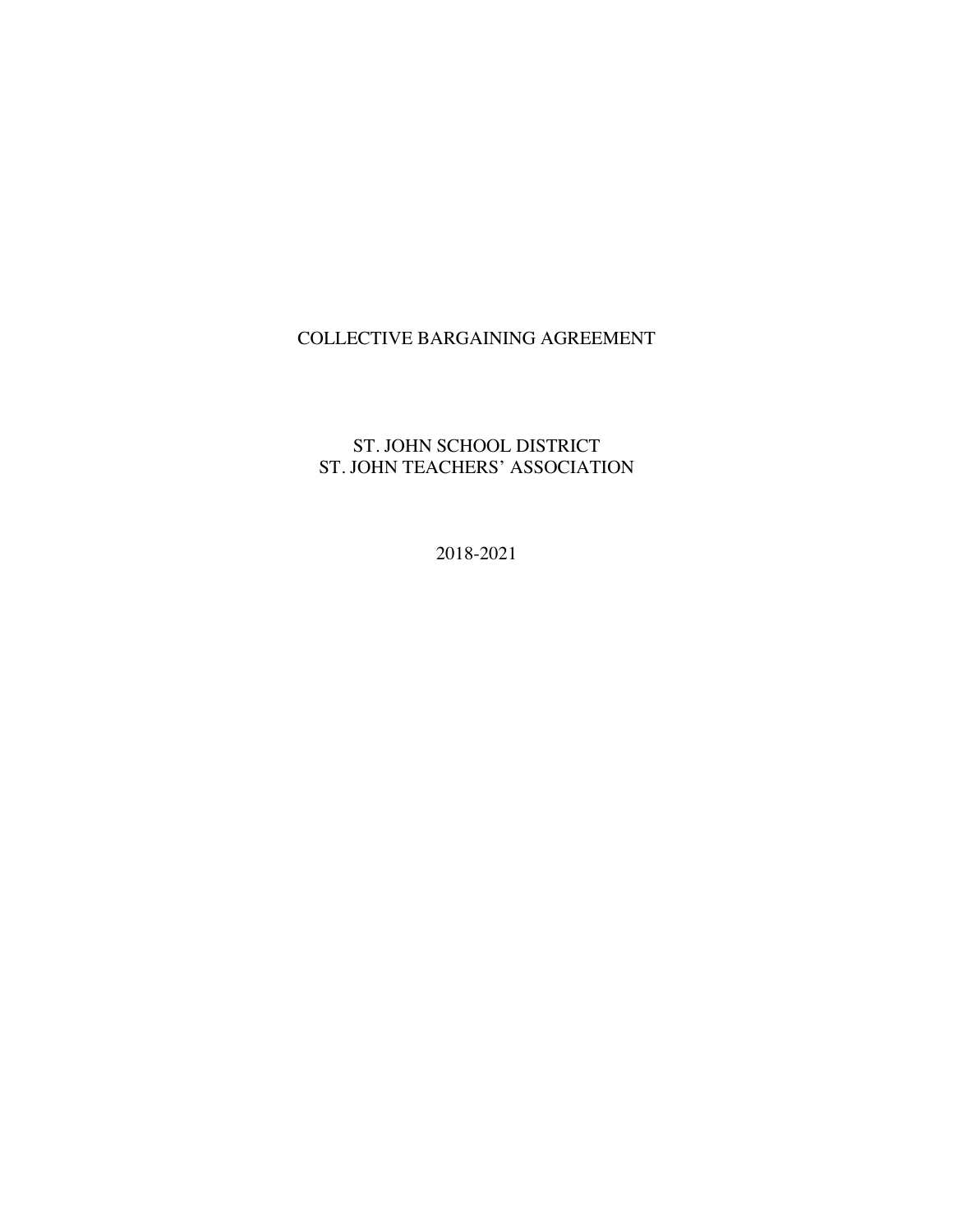# COLLECTIVE BARGAINING AGREEMENT

## ST. JOHN SCHOOL DISTRICT ST. JOHN TEACHERS' ASSOCIATION

2018-2021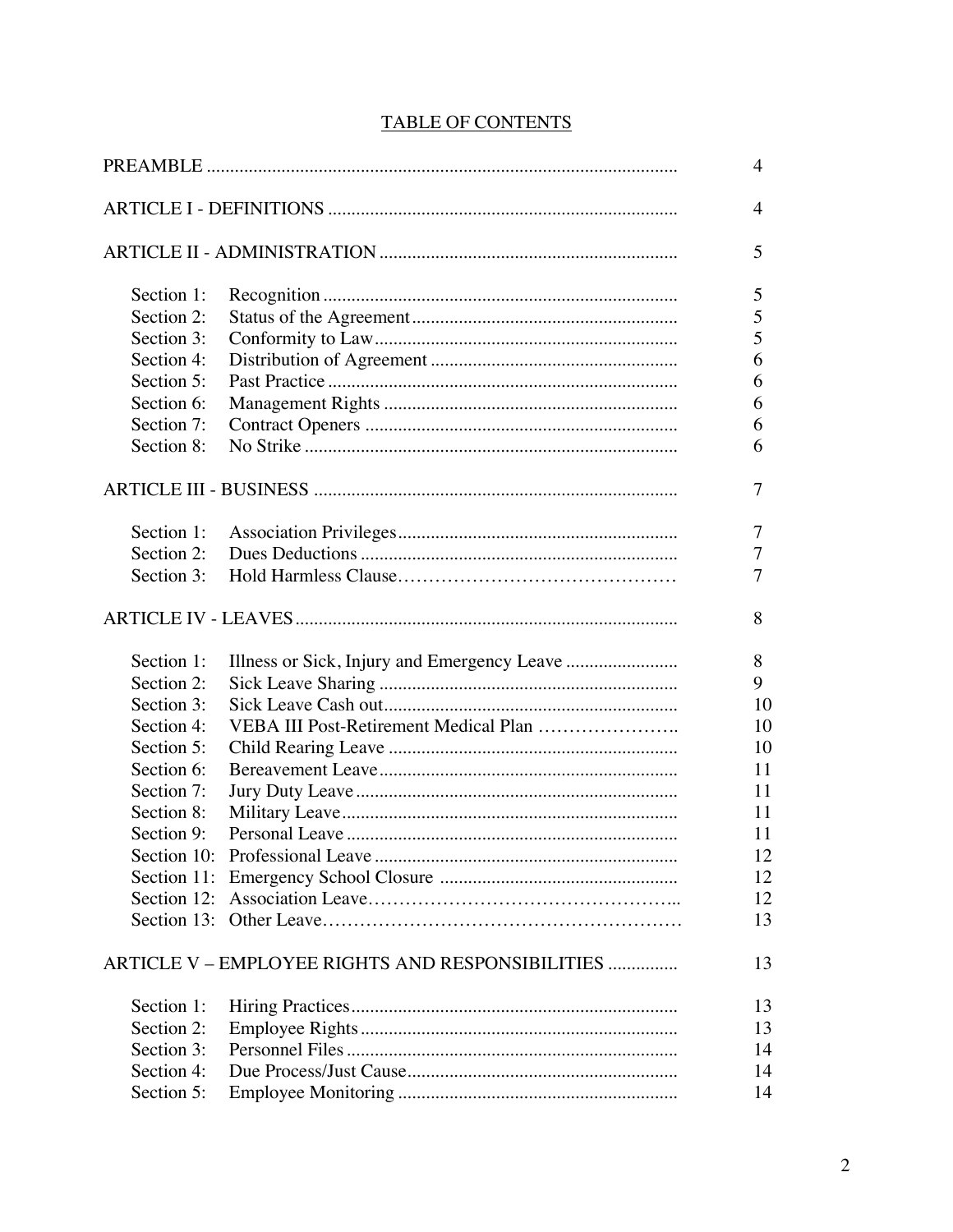|--|

|             |                                                  | 4  |
|-------------|--------------------------------------------------|----|
|             |                                                  | 4  |
|             |                                                  | 5  |
| Section 1:  |                                                  | 5  |
| Section 2:  |                                                  | 5  |
| Section 3:  |                                                  | 5  |
| Section 4:  |                                                  | 6  |
| Section 5:  |                                                  | 6  |
| Section 6:  |                                                  | 6  |
| Section 7:  |                                                  | 6  |
| Section 8:  |                                                  | 6  |
|             |                                                  | 7  |
| Section 1:  |                                                  | 7  |
| Section 2:  |                                                  | 7  |
| Section 3:  |                                                  | 7  |
|             |                                                  | 8  |
| Section 1:  |                                                  | 8  |
| Section 2:  |                                                  | 9  |
| Section 3:  |                                                  | 10 |
| Section 4:  | VEBA III Post-Retirement Medical Plan            | 10 |
| Section 5:  |                                                  | 10 |
| Section 6:  |                                                  | 11 |
| Section 7:  |                                                  | 11 |
| Section 8:  |                                                  | 11 |
| Section 9:  |                                                  | 11 |
| Section 10: |                                                  | 12 |
| Section 11: |                                                  | 12 |
|             |                                                  | 12 |
|             |                                                  | 13 |
|             | ARTICLE V – EMPLOYEE RIGHTS AND RESPONSIBILITIES | 13 |
| Section 1:  |                                                  | 13 |
| Section 2:  |                                                  | 13 |
| Section 3:  |                                                  | 14 |
| Section 4:  |                                                  | 14 |
| Section 5:  |                                                  | 14 |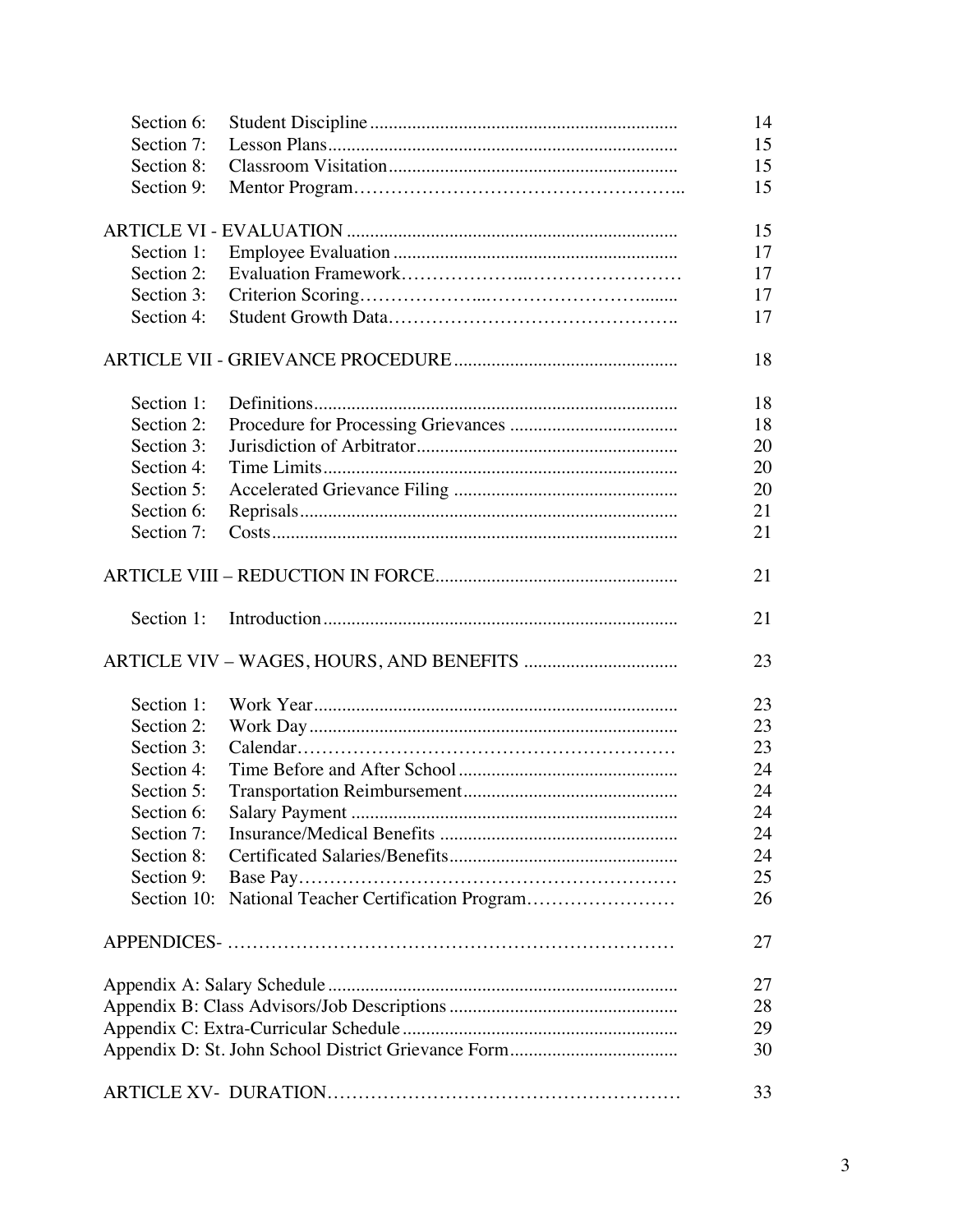| Section 6:  | 14 |
|-------------|----|
| Section 7:  | 15 |
| Section 8:  | 15 |
| Section 9:  | 15 |
|             |    |
|             | 15 |
| Section 1:  | 17 |
| Section 2:  | 17 |
| Section 3:  | 17 |
| Section 4:  | 17 |
|             | 18 |
|             |    |
| Section 1:  | 18 |
| Section 2:  | 18 |
| Section 3:  | 20 |
| Section 4:  | 20 |
| Section 5:  | 20 |
| Section 6:  | 21 |
| Section 7:  | 21 |
|             | 21 |
| Section 1:  | 21 |
|             | 23 |
| Section 1:  | 23 |
| Section 2:  | 23 |
| Section 3:  | 23 |
| Section 4:  | 24 |
| Section 5:  | 24 |
| Section 6:  | 24 |
| Section 7:  | 24 |
| Section 8:  | 24 |
| Section 9:  | 25 |
| Section 10: | 26 |
|             |    |
|             | 27 |
|             |    |
|             | 27 |
|             | 28 |
|             | 29 |
|             | 30 |
|             | 33 |
|             |    |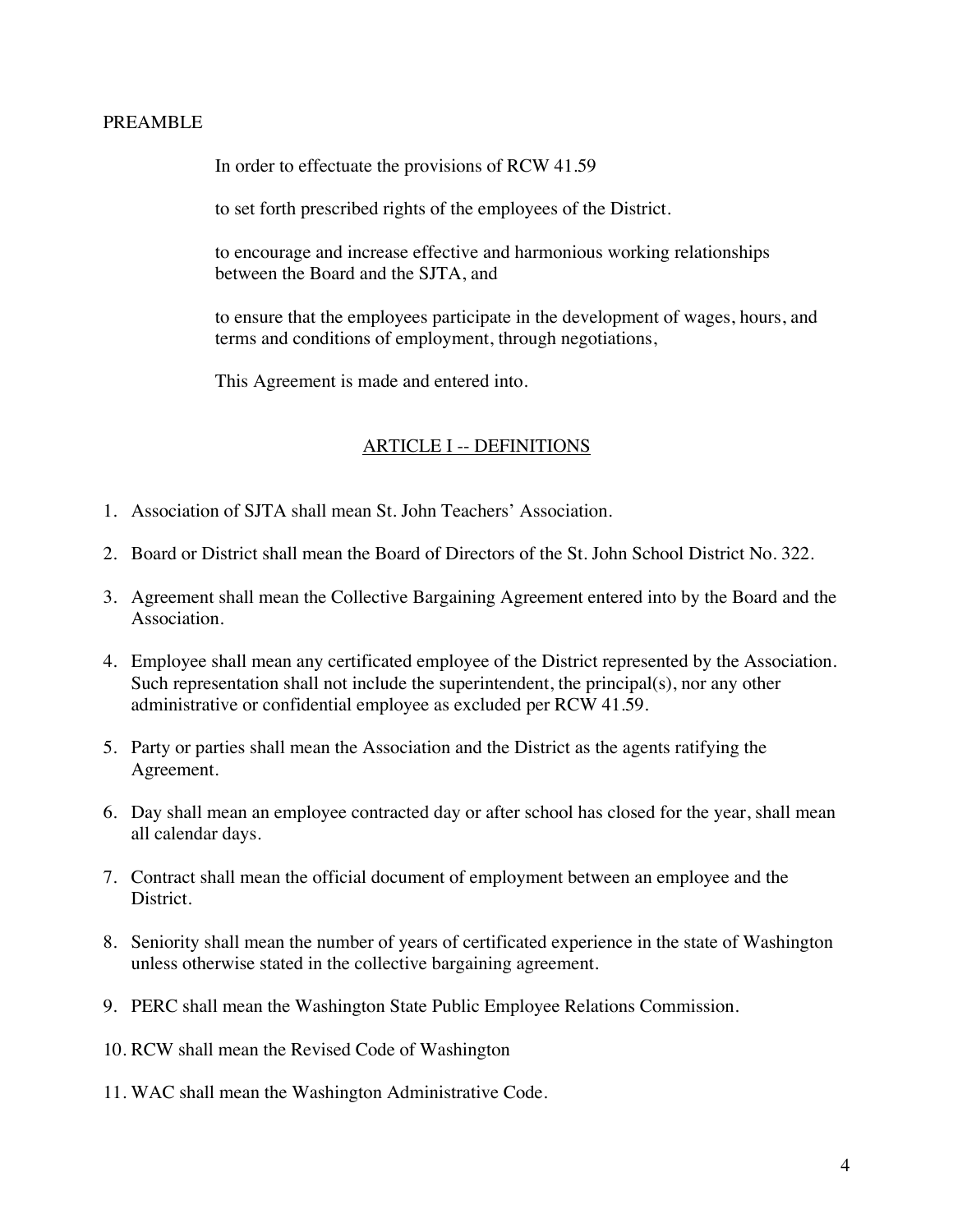#### PREAMBLE

In order to effectuate the provisions of RCW 41.59

to set forth prescribed rights of the employees of the District.

to encourage and increase effective and harmonious working relationships between the Board and the SJTA, and

to ensure that the employees participate in the development of wages, hours, and terms and conditions of employment, through negotiations,

This Agreement is made and entered into.

## ARTICLE I -- DEFINITIONS

- 1. Association of SJTA shall mean St. John Teachers' Association.
- 2. Board or District shall mean the Board of Directors of the St. John School District No. 322.
- 3. Agreement shall mean the Collective Bargaining Agreement entered into by the Board and the Association.
- 4. Employee shall mean any certificated employee of the District represented by the Association. Such representation shall not include the superintendent, the principal(s), nor any other administrative or confidential employee as excluded per RCW 41.59.
- 5. Party or parties shall mean the Association and the District as the agents ratifying the Agreement.
- 6. Day shall mean an employee contracted day or after school has closed for the year, shall mean all calendar days.
- 7. Contract shall mean the official document of employment between an employee and the District.
- 8. Seniority shall mean the number of years of certificated experience in the state of Washington unless otherwise stated in the collective bargaining agreement.
- 9. PERC shall mean the Washington State Public Employee Relations Commission.
- 10. RCW shall mean the Revised Code of Washington
- 11. WAC shall mean the Washington Administrative Code.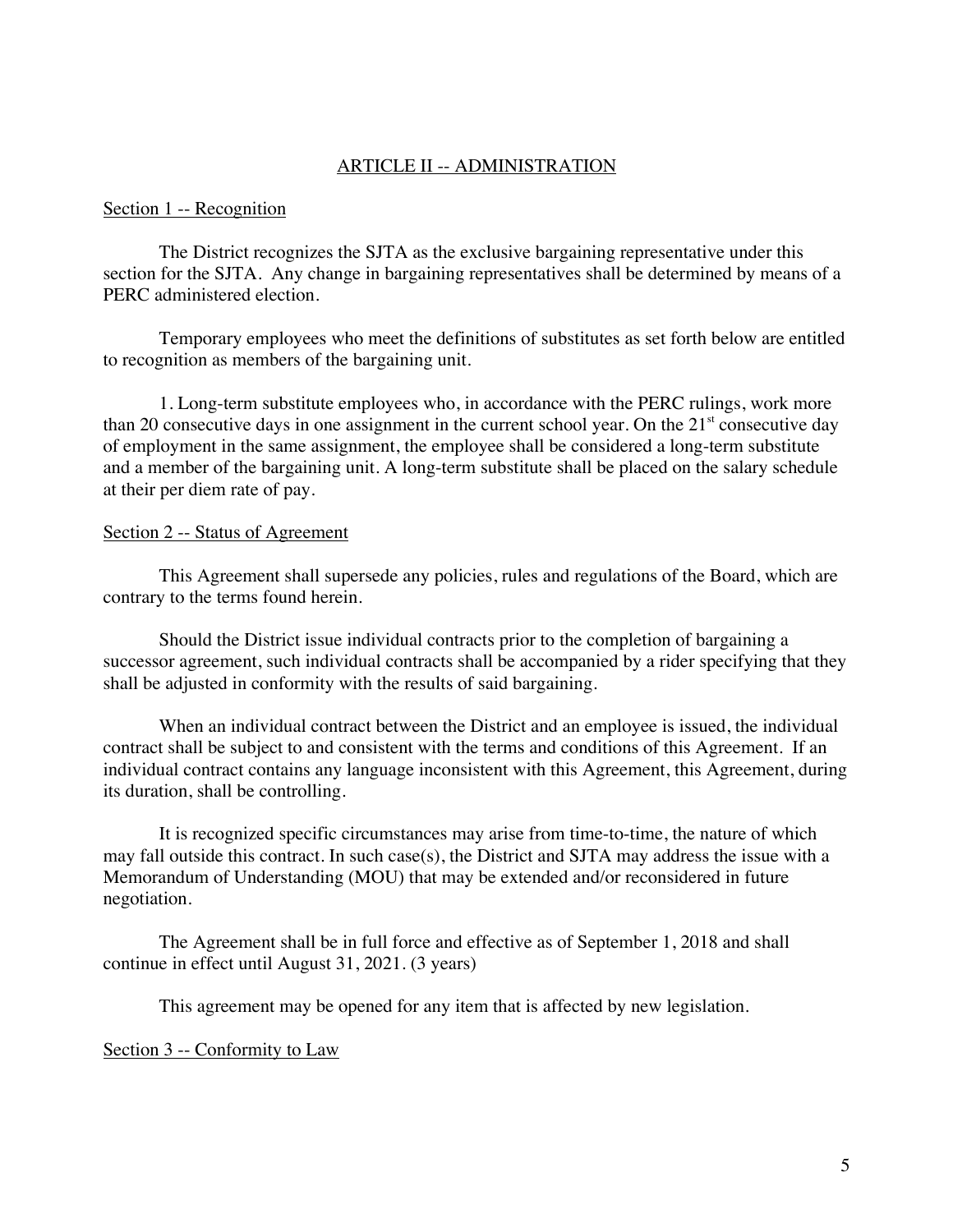### ARTICLE II -- ADMINISTRATION

#### Section 1 -- Recognition

The District recognizes the SJTA as the exclusive bargaining representative under this section for the SJTA. Any change in bargaining representatives shall be determined by means of a PERC administered election.

Temporary employees who meet the definitions of substitutes as set forth below are entitled to recognition as members of the bargaining unit.

1. Long-term substitute employees who, in accordance with the PERC rulings, work more than 20 consecutive days in one assignment in the current school year. On the  $21<sup>st</sup>$  consecutive day of employment in the same assignment, the employee shall be considered a long-term substitute and a member of the bargaining unit. A long-term substitute shall be placed on the salary schedule at their per diem rate of pay.

#### Section 2 -- Status of Agreement

This Agreement shall supersede any policies, rules and regulations of the Board, which are contrary to the terms found herein.

Should the District issue individual contracts prior to the completion of bargaining a successor agreement, such individual contracts shall be accompanied by a rider specifying that they shall be adjusted in conformity with the results of said bargaining.

When an individual contract between the District and an employee is issued, the individual contract shall be subject to and consistent with the terms and conditions of this Agreement. If an individual contract contains any language inconsistent with this Agreement, this Agreement, during its duration, shall be controlling.

It is recognized specific circumstances may arise from time-to-time, the nature of which may fall outside this contract. In such case(s), the District and SJTA may address the issue with a Memorandum of Understanding (MOU) that may be extended and/or reconsidered in future negotiation.

The Agreement shall be in full force and effective as of September 1, 2018 and shall continue in effect until August 31, 2021. (3 years)

This agreement may be opened for any item that is affected by new legislation.

#### Section 3 -- Conformity to Law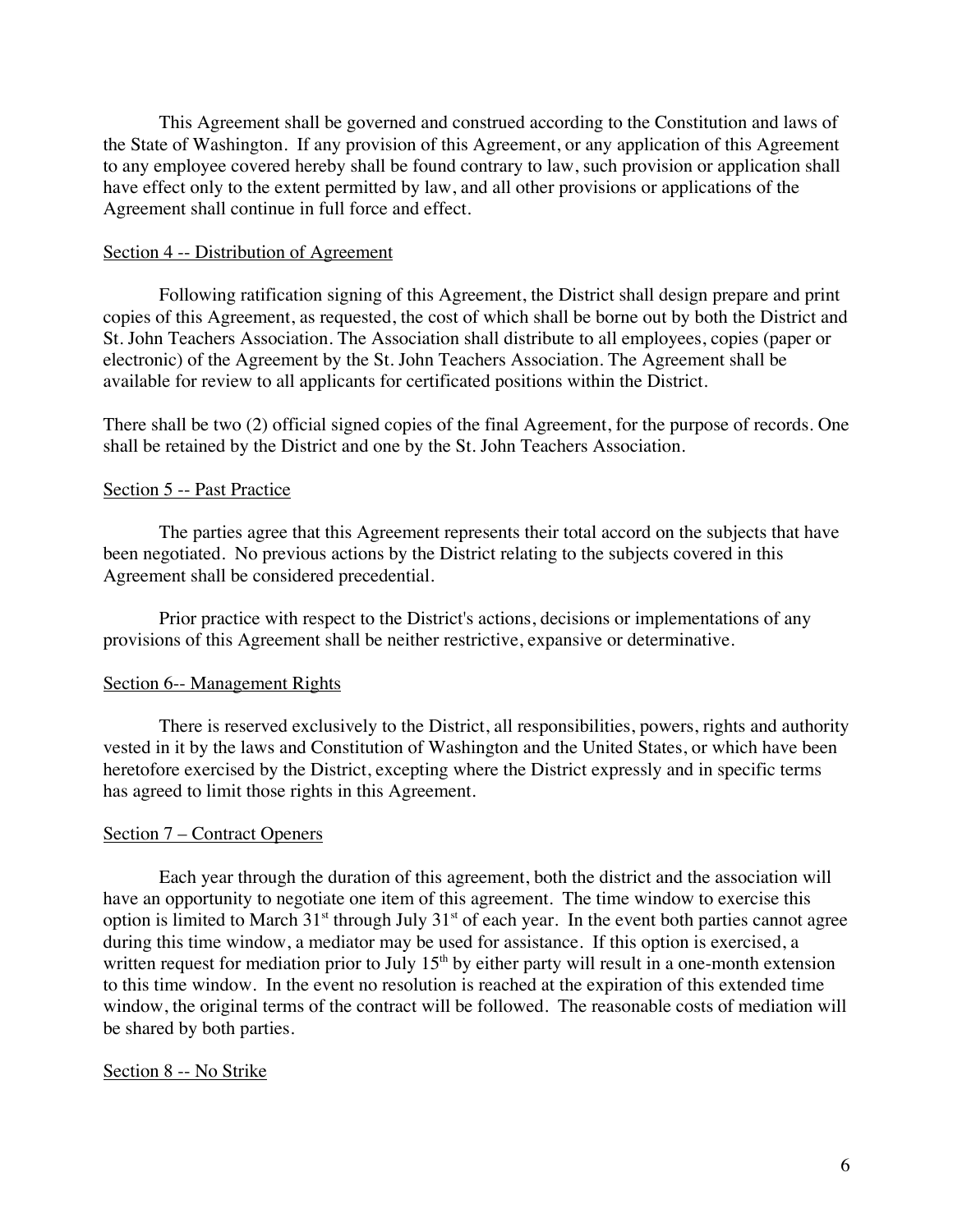This Agreement shall be governed and construed according to the Constitution and laws of the State of Washington. If any provision of this Agreement, or any application of this Agreement to any employee covered hereby shall be found contrary to law, such provision or application shall have effect only to the extent permitted by law, and all other provisions or applications of the Agreement shall continue in full force and effect.

### Section 4 -- Distribution of Agreement

Following ratification signing of this Agreement, the District shall design prepare and print copies of this Agreement, as requested, the cost of which shall be borne out by both the District and St. John Teachers Association. The Association shall distribute to all employees, copies (paper or electronic) of the Agreement by the St. John Teachers Association. The Agreement shall be available for review to all applicants for certificated positions within the District.

There shall be two (2) official signed copies of the final Agreement, for the purpose of records. One shall be retained by the District and one by the St. John Teachers Association.

## Section 5 -- Past Practice

The parties agree that this Agreement represents their total accord on the subjects that have been negotiated. No previous actions by the District relating to the subjects covered in this Agreement shall be considered precedential.

Prior practice with respect to the District's actions, decisions or implementations of any provisions of this Agreement shall be neither restrictive, expansive or determinative.

#### Section 6-- Management Rights

There is reserved exclusively to the District, all responsibilities, powers, rights and authority vested in it by the laws and Constitution of Washington and the United States, or which have been heretofore exercised by the District, excepting where the District expressly and in specific terms has agreed to limit those rights in this Agreement.

#### Section 7 – Contract Openers

Each year through the duration of this agreement, both the district and the association will have an opportunity to negotiate one item of this agreement. The time window to exercise this option is limited to March  $31<sup>st</sup>$  through July  $31<sup>st</sup>$  of each year. In the event both parties cannot agree during this time window, a mediator may be used for assistance. If this option is exercised, a written request for mediation prior to July  $15<sup>th</sup>$  by either party will result in a one-month extension to this time window. In the event no resolution is reached at the expiration of this extended time window, the original terms of the contract will be followed. The reasonable costs of mediation will be shared by both parties.

#### Section 8 -- No Strike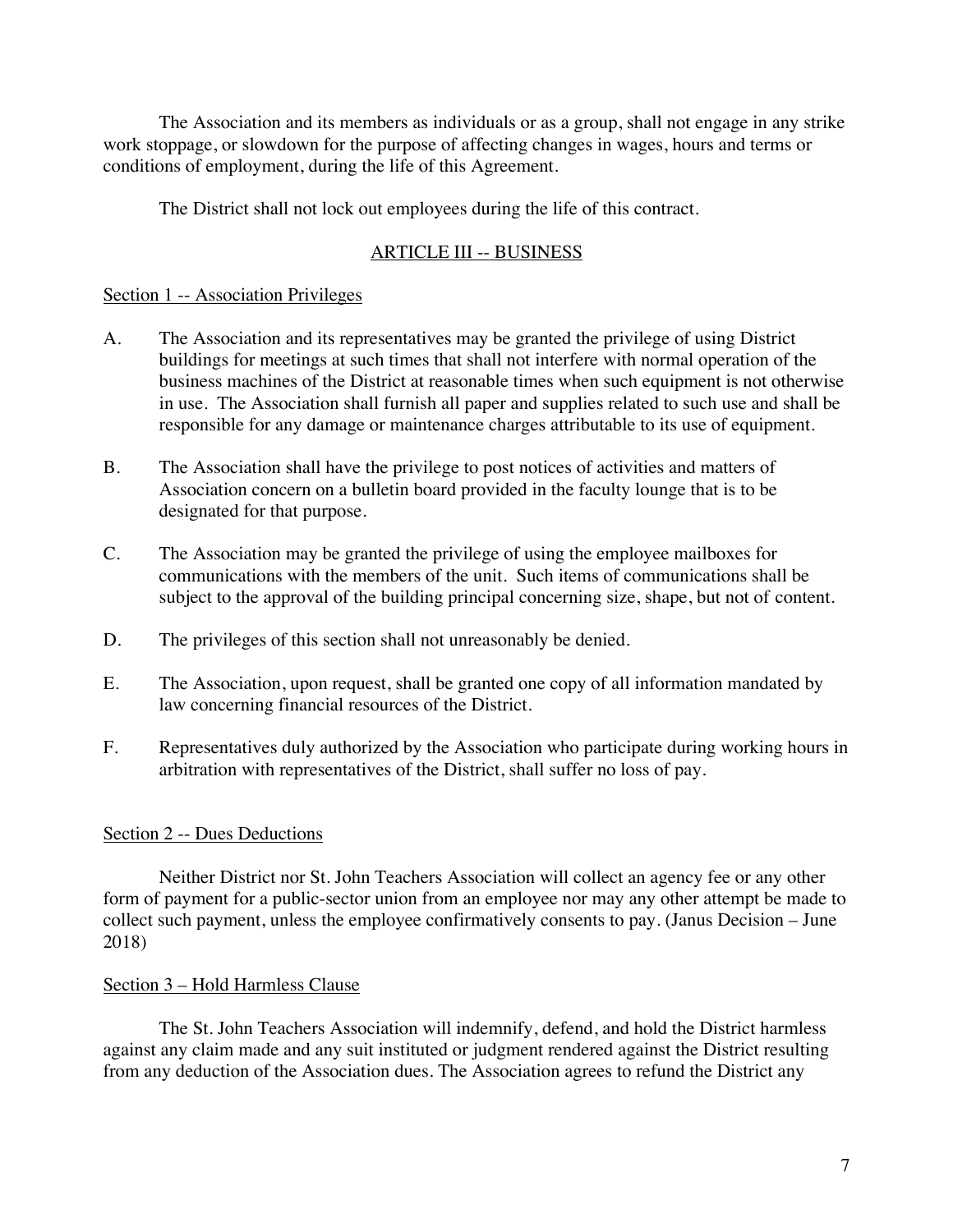The Association and its members as individuals or as a group, shall not engage in any strike work stoppage, or slowdown for the purpose of affecting changes in wages, hours and terms or conditions of employment, during the life of this Agreement.

The District shall not lock out employees during the life of this contract.

## ARTICLE III -- BUSINESS

## Section 1 -- Association Privileges

- A. The Association and its representatives may be granted the privilege of using District buildings for meetings at such times that shall not interfere with normal operation of the business machines of the District at reasonable times when such equipment is not otherwise in use. The Association shall furnish all paper and supplies related to such use and shall be responsible for any damage or maintenance charges attributable to its use of equipment.
- B. The Association shall have the privilege to post notices of activities and matters of Association concern on a bulletin board provided in the faculty lounge that is to be designated for that purpose.
- C. The Association may be granted the privilege of using the employee mailboxes for communications with the members of the unit. Such items of communications shall be subject to the approval of the building principal concerning size, shape, but not of content.
- D. The privileges of this section shall not unreasonably be denied.
- E. The Association, upon request, shall be granted one copy of all information mandated by law concerning financial resources of the District.
- F. Representatives duly authorized by the Association who participate during working hours in arbitration with representatives of the District, shall suffer no loss of pay.

## Section 2 -- Dues Deductions

Neither District nor St. John Teachers Association will collect an agency fee or any other form of payment for a public-sector union from an employee nor may any other attempt be made to collect such payment, unless the employee confirmatively consents to pay. (Janus Decision – June 2018)

#### Section 3 – Hold Harmless Clause

The St. John Teachers Association will indemnify, defend, and hold the District harmless against any claim made and any suit instituted or judgment rendered against the District resulting from any deduction of the Association dues. The Association agrees to refund the District any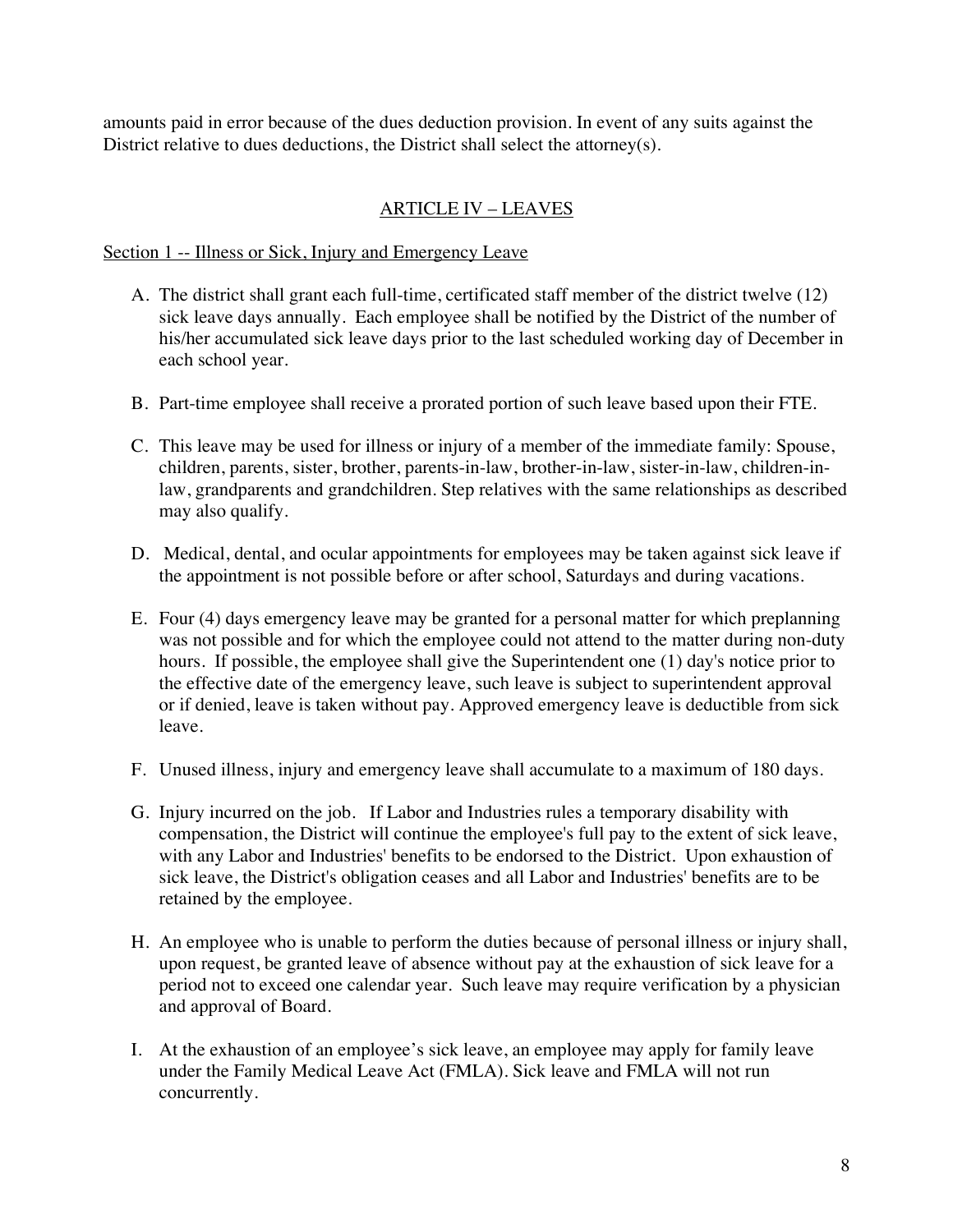amounts paid in error because of the dues deduction provision. In event of any suits against the District relative to dues deductions, the District shall select the attorney(s).

# ARTICLE IV – LEAVES

## Section 1 -- Illness or Sick, Injury and Emergency Leave

- A. The district shall grant each full-time, certificated staff member of the district twelve (12) sick leave days annually. Each employee shall be notified by the District of the number of his/her accumulated sick leave days prior to the last scheduled working day of December in each school year.
- B. Part-time employee shall receive a prorated portion of such leave based upon their FTE.
- C. This leave may be used for illness or injury of a member of the immediate family: Spouse, children, parents, sister, brother, parents-in-law, brother-in-law, sister-in-law, children-inlaw, grandparents and grandchildren. Step relatives with the same relationships as described may also qualify.
- D. Medical, dental, and ocular appointments for employees may be taken against sick leave if the appointment is not possible before or after school, Saturdays and during vacations.
- E. Four (4) days emergency leave may be granted for a personal matter for which preplanning was not possible and for which the employee could not attend to the matter during non-duty hours. If possible, the employee shall give the Superintendent one (1) day's notice prior to the effective date of the emergency leave, such leave is subject to superintendent approval or if denied, leave is taken without pay. Approved emergency leave is deductible from sick leave.
- F. Unused illness, injury and emergency leave shall accumulate to a maximum of 180 days.
- G. Injury incurred on the job. If Labor and Industries rules a temporary disability with compensation, the District will continue the employee's full pay to the extent of sick leave, with any Labor and Industries' benefits to be endorsed to the District. Upon exhaustion of sick leave, the District's obligation ceases and all Labor and Industries' benefits are to be retained by the employee.
- H. An employee who is unable to perform the duties because of personal illness or injury shall, upon request, be granted leave of absence without pay at the exhaustion of sick leave for a period not to exceed one calendar year. Such leave may require verification by a physician and approval of Board.
- I. At the exhaustion of an employee's sick leave, an employee may apply for family leave under the Family Medical Leave Act (FMLA). Sick leave and FMLA will not run concurrently.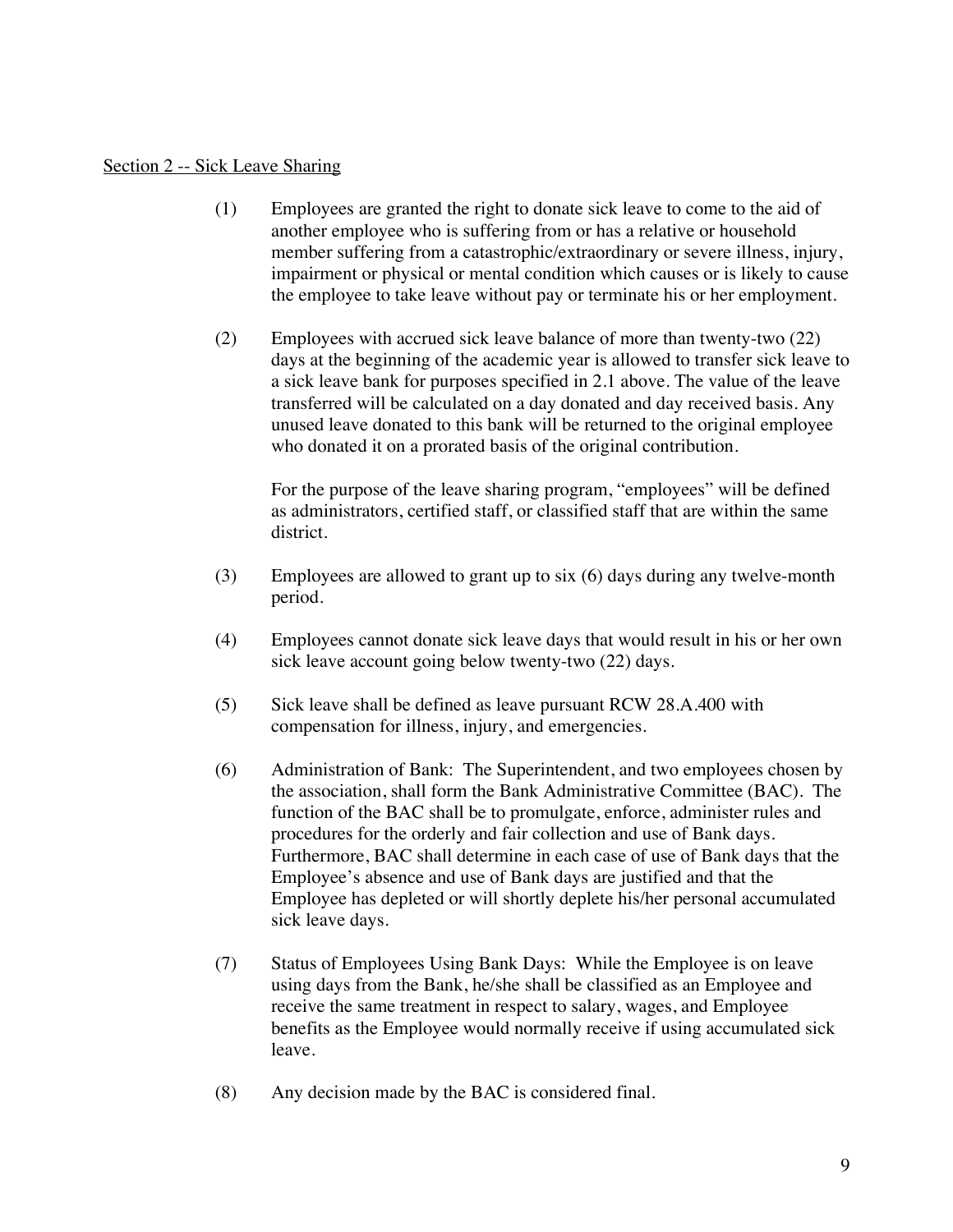#### Section 2 -- Sick Leave Sharing

- (1) Employees are granted the right to donate sick leave to come to the aid of another employee who is suffering from or has a relative or household member suffering from a catastrophic/extraordinary or severe illness, injury, impairment or physical or mental condition which causes or is likely to cause the employee to take leave without pay or terminate his or her employment.
- (2) Employees with accrued sick leave balance of more than twenty-two (22) days at the beginning of the academic year is allowed to transfer sick leave to a sick leave bank for purposes specified in 2.1 above. The value of the leave transferred will be calculated on a day donated and day received basis. Any unused leave donated to this bank will be returned to the original employee who donated it on a prorated basis of the original contribution.

For the purpose of the leave sharing program, "employees" will be defined as administrators, certified staff, or classified staff that are within the same district.

- (3) Employees are allowed to grant up to six (6) days during any twelve-month period.
- (4) Employees cannot donate sick leave days that would result in his or her own sick leave account going below twenty-two (22) days.
- (5) Sick leave shall be defined as leave pursuant RCW 28.A.400 with compensation for illness, injury, and emergencies.
- (6) Administration of Bank: The Superintendent, and two employees chosen by the association, shall form the Bank Administrative Committee (BAC). The function of the BAC shall be to promulgate, enforce, administer rules and procedures for the orderly and fair collection and use of Bank days. Furthermore, BAC shall determine in each case of use of Bank days that the Employee's absence and use of Bank days are justified and that the Employee has depleted or will shortly deplete his/her personal accumulated sick leave days.
- (7) Status of Employees Using Bank Days: While the Employee is on leave using days from the Bank, he/she shall be classified as an Employee and receive the same treatment in respect to salary, wages, and Employee benefits as the Employee would normally receive if using accumulated sick leave.
- (8) Any decision made by the BAC is considered final.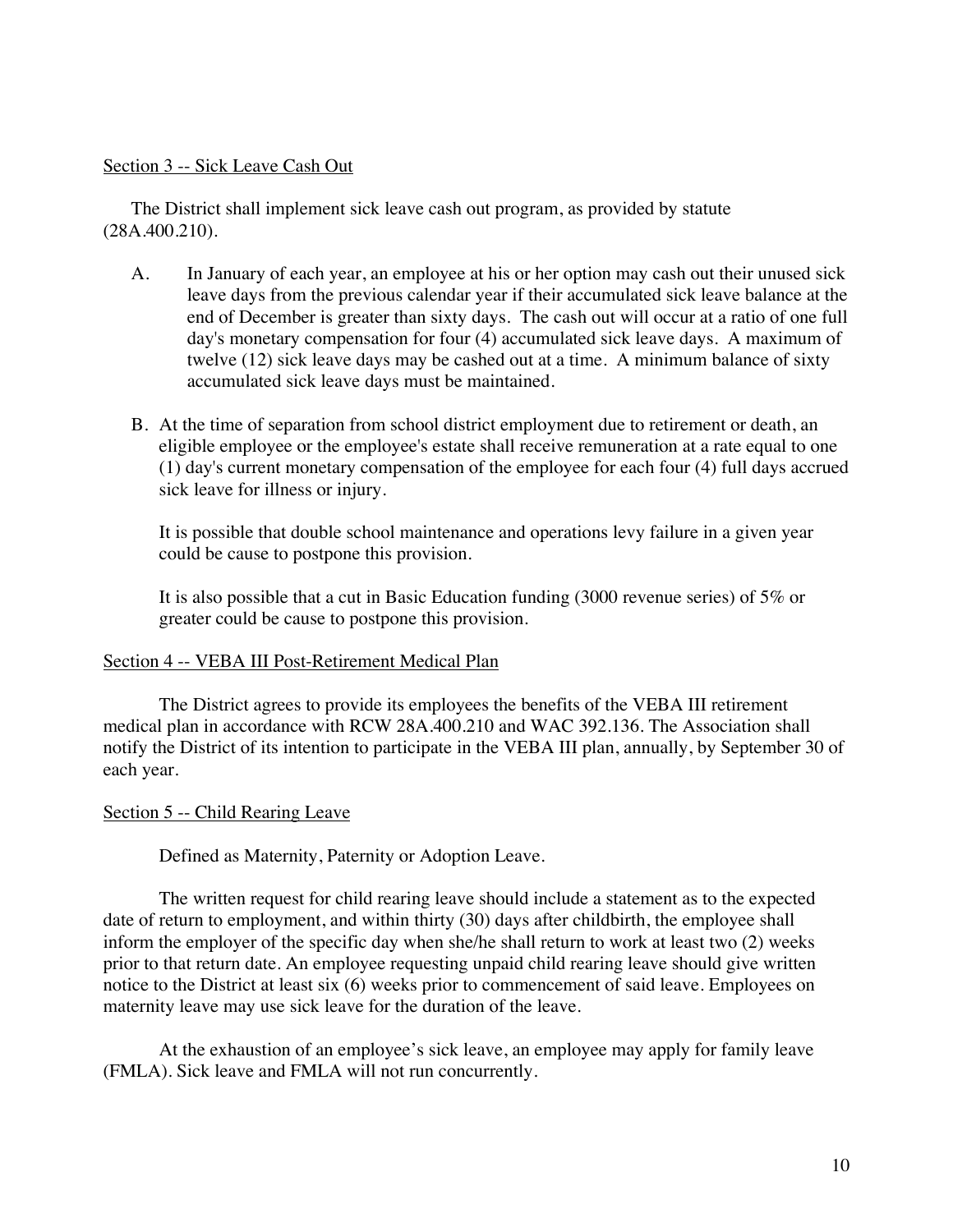#### Section 3 -- Sick Leave Cash Out

The District shall implement sick leave cash out program, as provided by statute (28A.400.210).

- A. In January of each year, an employee at his or her option may cash out their unused sick leave days from the previous calendar year if their accumulated sick leave balance at the end of December is greater than sixty days. The cash out will occur at a ratio of one full day's monetary compensation for four (4) accumulated sick leave days. A maximum of twelve (12) sick leave days may be cashed out at a time. A minimum balance of sixty accumulated sick leave days must be maintained.
- B. At the time of separation from school district employment due to retirement or death, an eligible employee or the employee's estate shall receive remuneration at a rate equal to one (1) day's current monetary compensation of the employee for each four (4) full days accrued sick leave for illness or injury.

It is possible that double school maintenance and operations levy failure in a given year could be cause to postpone this provision.

It is also possible that a cut in Basic Education funding (3000 revenue series) of 5% or greater could be cause to postpone this provision.

#### Section 4 -- VEBA III Post-Retirement Medical Plan

The District agrees to provide its employees the benefits of the VEBA III retirement medical plan in accordance with RCW 28A.400.210 and WAC 392.136. The Association shall notify the District of its intention to participate in the VEBA III plan, annually, by September 30 of each year.

#### Section 5 -- Child Rearing Leave

Defined as Maternity, Paternity or Adoption Leave.

The written request for child rearing leave should include a statement as to the expected date of return to employment, and within thirty (30) days after childbirth, the employee shall inform the employer of the specific day when she/he shall return to work at least two (2) weeks prior to that return date. An employee requesting unpaid child rearing leave should give written notice to the District at least six (6) weeks prior to commencement of said leave. Employees on maternity leave may use sick leave for the duration of the leave.

At the exhaustion of an employee's sick leave, an employee may apply for family leave (FMLA). Sick leave and FMLA will not run concurrently.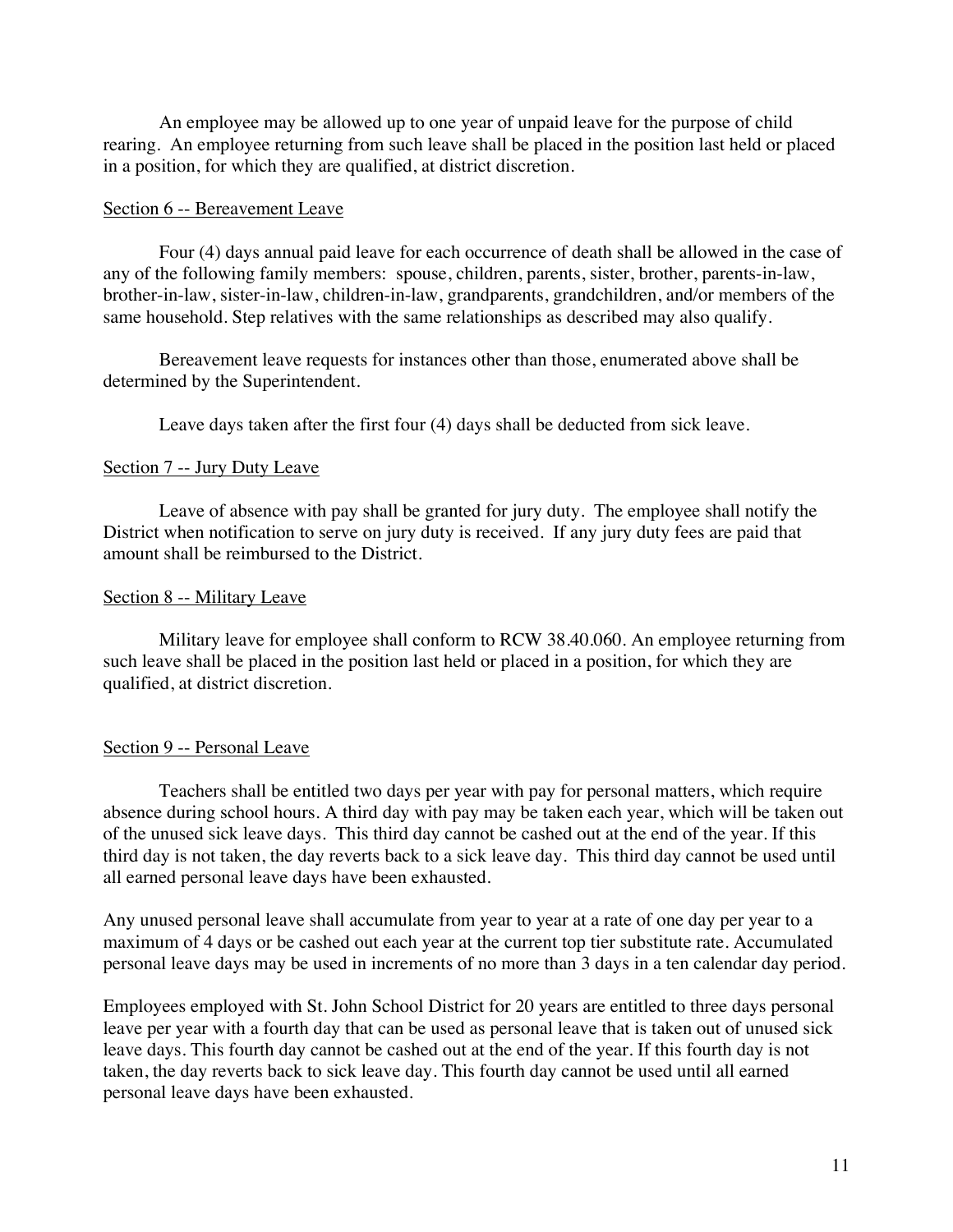An employee may be allowed up to one year of unpaid leave for the purpose of child rearing. An employee returning from such leave shall be placed in the position last held or placed in a position, for which they are qualified, at district discretion.

#### Section 6 -- Bereavement Leave

Four (4) days annual paid leave for each occurrence of death shall be allowed in the case of any of the following family members: spouse, children, parents, sister, brother, parents-in-law, brother-in-law, sister-in-law, children-in-law, grandparents, grandchildren, and/or members of the same household. Step relatives with the same relationships as described may also qualify.

Bereavement leave requests for instances other than those, enumerated above shall be determined by the Superintendent.

Leave days taken after the first four (4) days shall be deducted from sick leave.

## Section 7 -- Jury Duty Leave

Leave of absence with pay shall be granted for jury duty. The employee shall notify the District when notification to serve on jury duty is received. If any jury duty fees are paid that amount shall be reimbursed to the District.

#### Section 8 -- Military Leave

Military leave for employee shall conform to RCW 38.40.060. An employee returning from such leave shall be placed in the position last held or placed in a position, for which they are qualified, at district discretion.

## Section 9 -- Personal Leave

Teachers shall be entitled two days per year with pay for personal matters, which require absence during school hours. A third day with pay may be taken each year, which will be taken out of the unused sick leave days. This third day cannot be cashed out at the end of the year. If this third day is not taken, the day reverts back to a sick leave day. This third day cannot be used until all earned personal leave days have been exhausted.

Any unused personal leave shall accumulate from year to year at a rate of one day per year to a maximum of 4 days or be cashed out each year at the current top tier substitute rate. Accumulated personal leave days may be used in increments of no more than 3 days in a ten calendar day period.

Employees employed with St. John School District for 20 years are entitled to three days personal leave per year with a fourth day that can be used as personal leave that is taken out of unused sick leave days. This fourth day cannot be cashed out at the end of the year. If this fourth day is not taken, the day reverts back to sick leave day. This fourth day cannot be used until all earned personal leave days have been exhausted.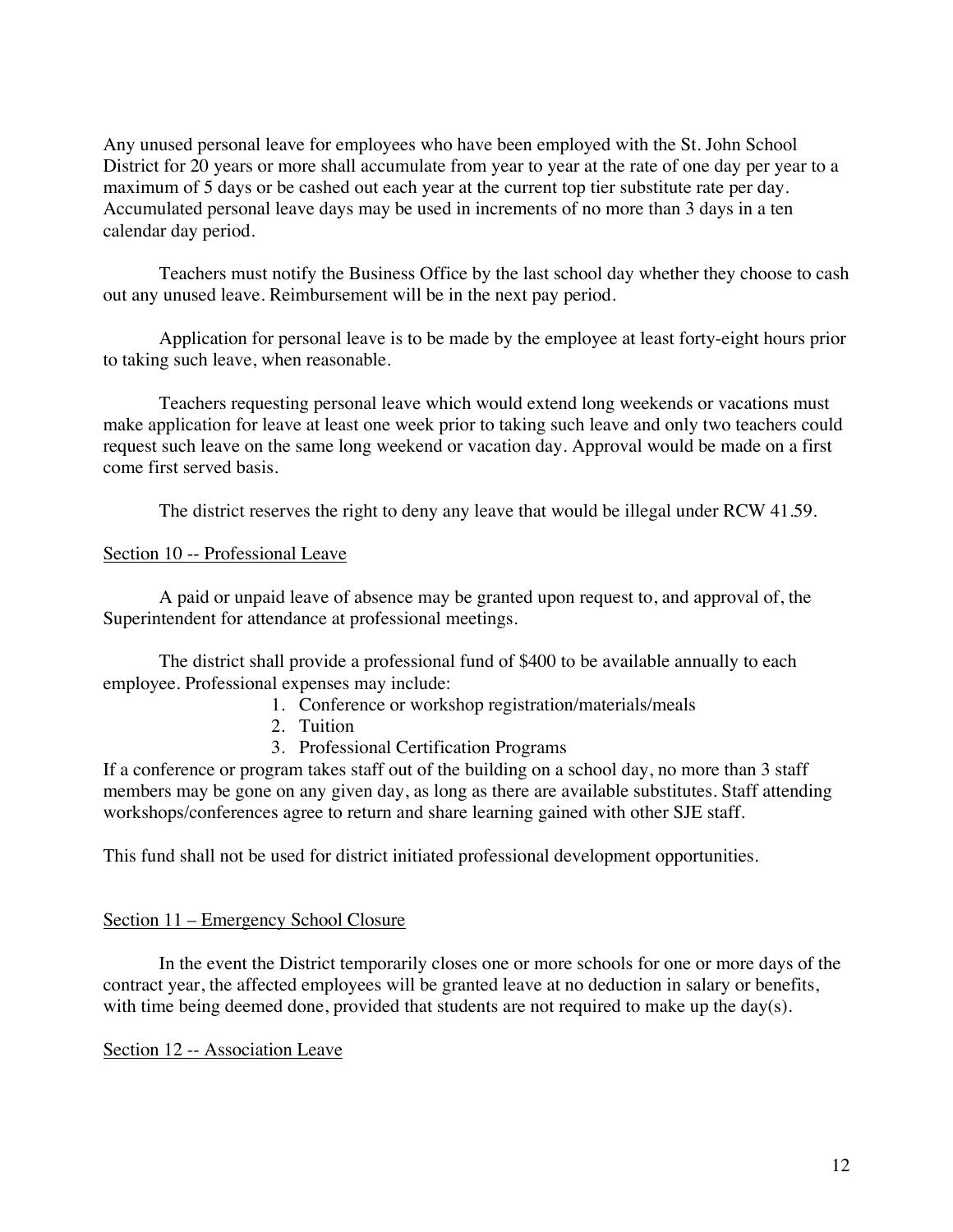Any unused personal leave for employees who have been employed with the St. John School District for 20 years or more shall accumulate from year to year at the rate of one day per year to a maximum of 5 days or be cashed out each year at the current top tier substitute rate per day. Accumulated personal leave days may be used in increments of no more than 3 days in a ten calendar day period.

Teachers must notify the Business Office by the last school day whether they choose to cash out any unused leave. Reimbursement will be in the next pay period.

Application for personal leave is to be made by the employee at least forty-eight hours prior to taking such leave, when reasonable.

Teachers requesting personal leave which would extend long weekends or vacations must make application for leave at least one week prior to taking such leave and only two teachers could request such leave on the same long weekend or vacation day. Approval would be made on a first come first served basis.

The district reserves the right to deny any leave that would be illegal under RCW 41.59.

## Section 10 -- Professional Leave

A paid or unpaid leave of absence may be granted upon request to, and approval of, the Superintendent for attendance at professional meetings.

The district shall provide a professional fund of \$400 to be available annually to each employee. Professional expenses may include:

- 1. Conference or workshop registration/materials/meals
- 2. Tuition
- 3. Professional Certification Programs

If a conference or program takes staff out of the building on a school day, no more than 3 staff members may be gone on any given day, as long as there are available substitutes. Staff attending workshops/conferences agree to return and share learning gained with other SJE staff.

This fund shall not be used for district initiated professional development opportunities.

#### Section 11 – Emergency School Closure

In the event the District temporarily closes one or more schools for one or more days of the contract year, the affected employees will be granted leave at no deduction in salary or benefits, with time being deemed done, provided that students are not required to make up the day(s).

Section 12 -- Association Leave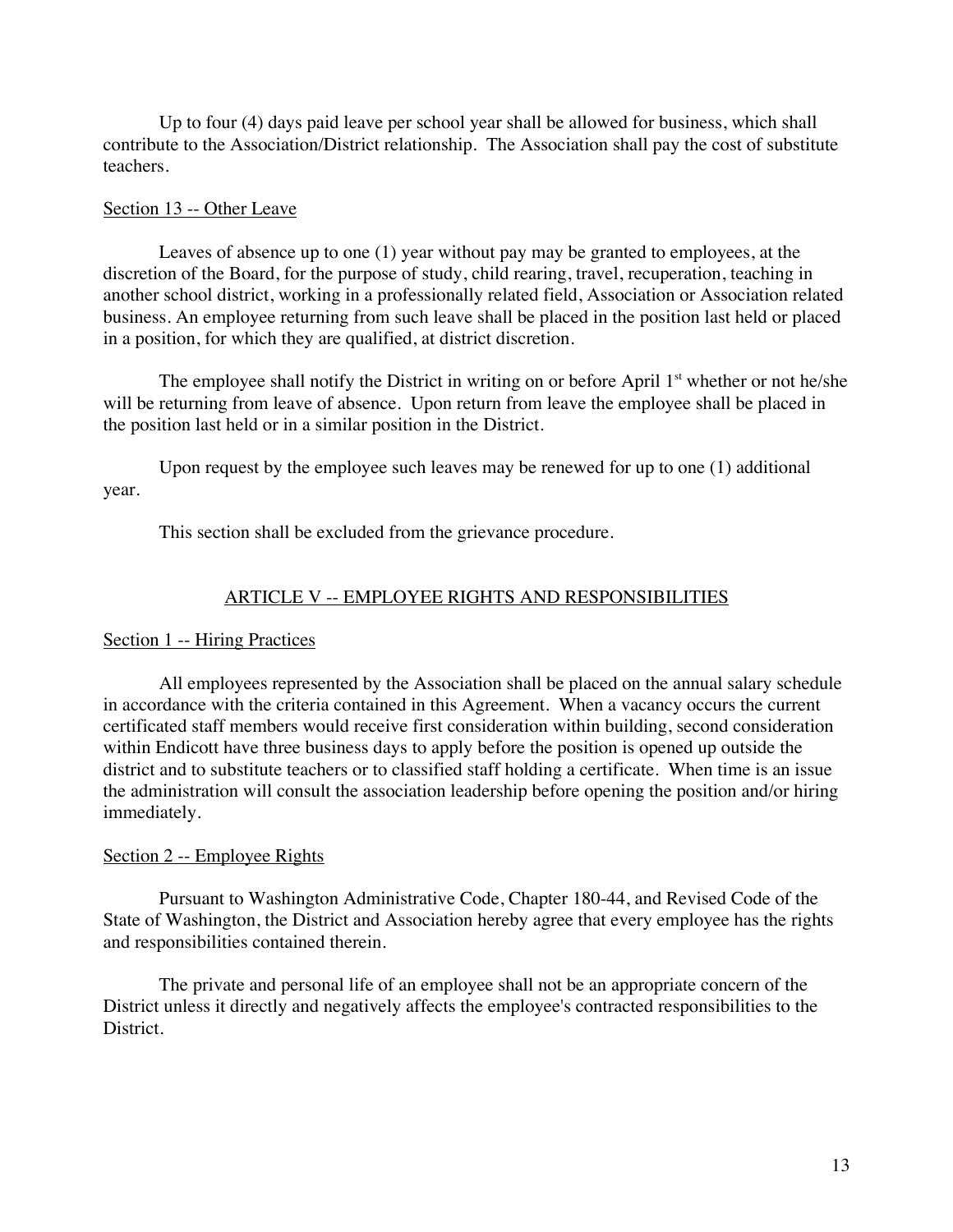Up to four (4) days paid leave per school year shall be allowed for business, which shall contribute to the Association/District relationship. The Association shall pay the cost of substitute teachers.

#### Section 13 -- Other Leave

Leaves of absence up to one (1) year without pay may be granted to employees, at the discretion of the Board, for the purpose of study, child rearing, travel, recuperation, teaching in another school district, working in a professionally related field, Association or Association related business. An employee returning from such leave shall be placed in the position last held or placed in a position, for which they are qualified, at district discretion.

The employee shall notify the District in writing on or before April 1<sup>st</sup> whether or not he/she will be returning from leave of absence. Upon return from leave the employee shall be placed in the position last held or in a similar position in the District.

Upon request by the employee such leaves may be renewed for up to one (1) additional year.

This section shall be excluded from the grievance procedure.

## ARTICLE V -- EMPLOYEE RIGHTS AND RESPONSIBILITIES

## Section 1 -- Hiring Practices

All employees represented by the Association shall be placed on the annual salary schedule in accordance with the criteria contained in this Agreement. When a vacancy occurs the current certificated staff members would receive first consideration within building, second consideration within Endicott have three business days to apply before the position is opened up outside the district and to substitute teachers or to classified staff holding a certificate. When time is an issue the administration will consult the association leadership before opening the position and/or hiring immediately.

## Section 2 -- Employee Rights

Pursuant to Washington Administrative Code, Chapter 180-44, and Revised Code of the State of Washington, the District and Association hereby agree that every employee has the rights and responsibilities contained therein.

The private and personal life of an employee shall not be an appropriate concern of the District unless it directly and negatively affects the employee's contracted responsibilities to the District.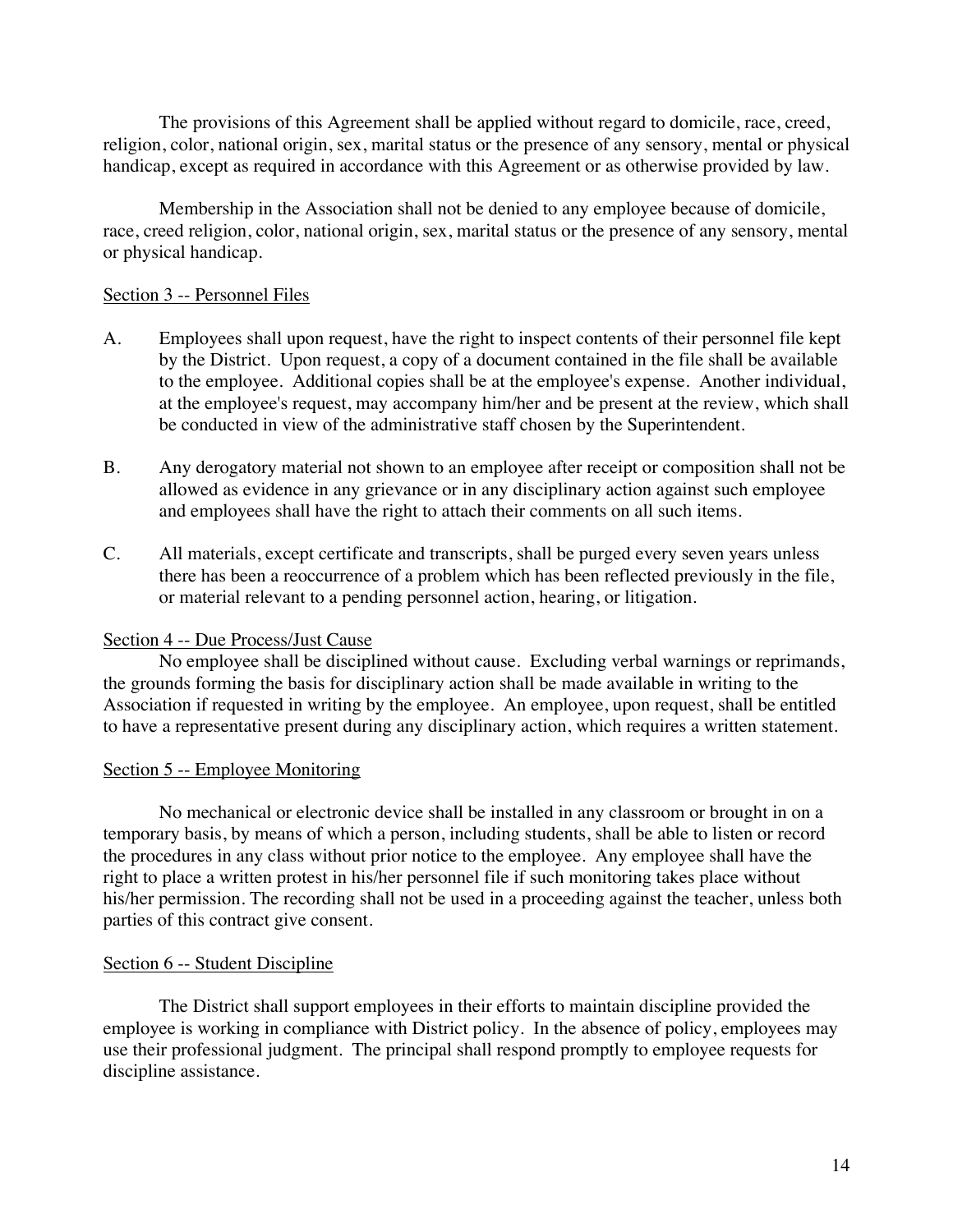The provisions of this Agreement shall be applied without regard to domicile, race, creed, religion, color, national origin, sex, marital status or the presence of any sensory, mental or physical handicap, except as required in accordance with this Agreement or as otherwise provided by law.

Membership in the Association shall not be denied to any employee because of domicile, race, creed religion, color, national origin, sex, marital status or the presence of any sensory, mental or physical handicap.

### Section 3 -- Personnel Files

- A. Employees shall upon request, have the right to inspect contents of their personnel file kept by the District. Upon request, a copy of a document contained in the file shall be available to the employee. Additional copies shall be at the employee's expense. Another individual, at the employee's request, may accompany him/her and be present at the review, which shall be conducted in view of the administrative staff chosen by the Superintendent.
- B. Any derogatory material not shown to an employee after receipt or composition shall not be allowed as evidence in any grievance or in any disciplinary action against such employee and employees shall have the right to attach their comments on all such items.
- C. All materials, except certificate and transcripts, shall be purged every seven years unless there has been a reoccurrence of a problem which has been reflected previously in the file, or material relevant to a pending personnel action, hearing, or litigation.

#### Section 4 -- Due Process/Just Cause

No employee shall be disciplined without cause. Excluding verbal warnings or reprimands, the grounds forming the basis for disciplinary action shall be made available in writing to the Association if requested in writing by the employee. An employee, upon request, shall be entitled to have a representative present during any disciplinary action, which requires a written statement.

#### Section 5 -- Employee Monitoring

No mechanical or electronic device shall be installed in any classroom or brought in on a temporary basis, by means of which a person, including students, shall be able to listen or record the procedures in any class without prior notice to the employee. Any employee shall have the right to place a written protest in his/her personnel file if such monitoring takes place without his/her permission. The recording shall not be used in a proceeding against the teacher, unless both parties of this contract give consent.

#### Section 6 -- Student Discipline

The District shall support employees in their efforts to maintain discipline provided the employee is working in compliance with District policy. In the absence of policy, employees may use their professional judgment. The principal shall respond promptly to employee requests for discipline assistance.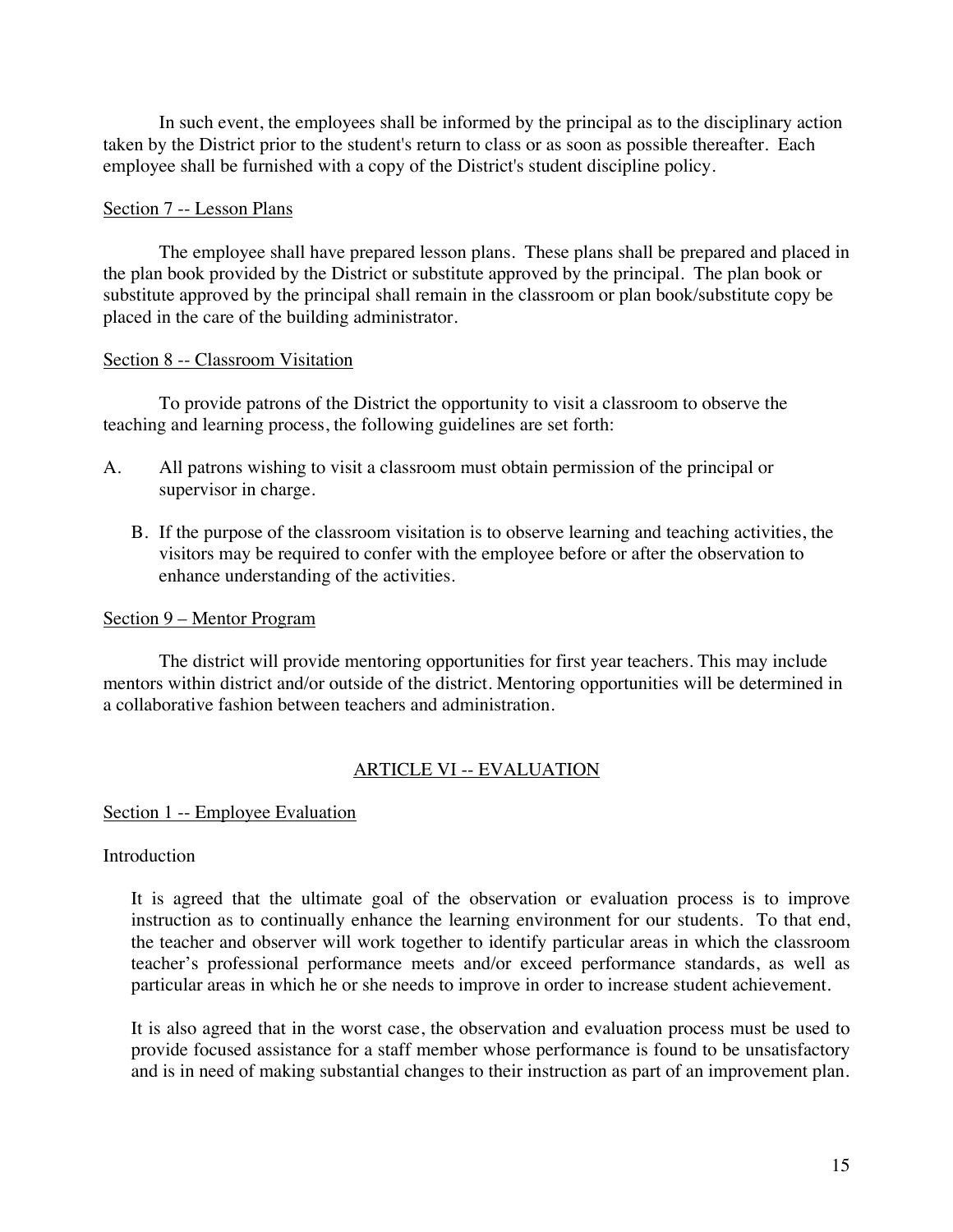In such event, the employees shall be informed by the principal as to the disciplinary action taken by the District prior to the student's return to class or as soon as possible thereafter. Each employee shall be furnished with a copy of the District's student discipline policy.

## Section 7 -- Lesson Plans

The employee shall have prepared lesson plans. These plans shall be prepared and placed in the plan book provided by the District or substitute approved by the principal. The plan book or substitute approved by the principal shall remain in the classroom or plan book/substitute copy be placed in the care of the building administrator.

## Section 8 -- Classroom Visitation

To provide patrons of the District the opportunity to visit a classroom to observe the teaching and learning process, the following guidelines are set forth:

- A. All patrons wishing to visit a classroom must obtain permission of the principal or supervisor in charge.
	- B. If the purpose of the classroom visitation is to observe learning and teaching activities, the visitors may be required to confer with the employee before or after the observation to enhance understanding of the activities.

#### Section 9 – Mentor Program

The district will provide mentoring opportunities for first year teachers. This may include mentors within district and/or outside of the district. Mentoring opportunities will be determined in a collaborative fashion between teachers and administration.

## ARTICLE VI -- EVALUATION

#### Section 1 -- Employee Evaluation

#### Introduction

It is agreed that the ultimate goal of the observation or evaluation process is to improve instruction as to continually enhance the learning environment for our students. To that end, the teacher and observer will work together to identify particular areas in which the classroom teacher's professional performance meets and/or exceed performance standards, as well as particular areas in which he or she needs to improve in order to increase student achievement.

It is also agreed that in the worst case, the observation and evaluation process must be used to provide focused assistance for a staff member whose performance is found to be unsatisfactory and is in need of making substantial changes to their instruction as part of an improvement plan.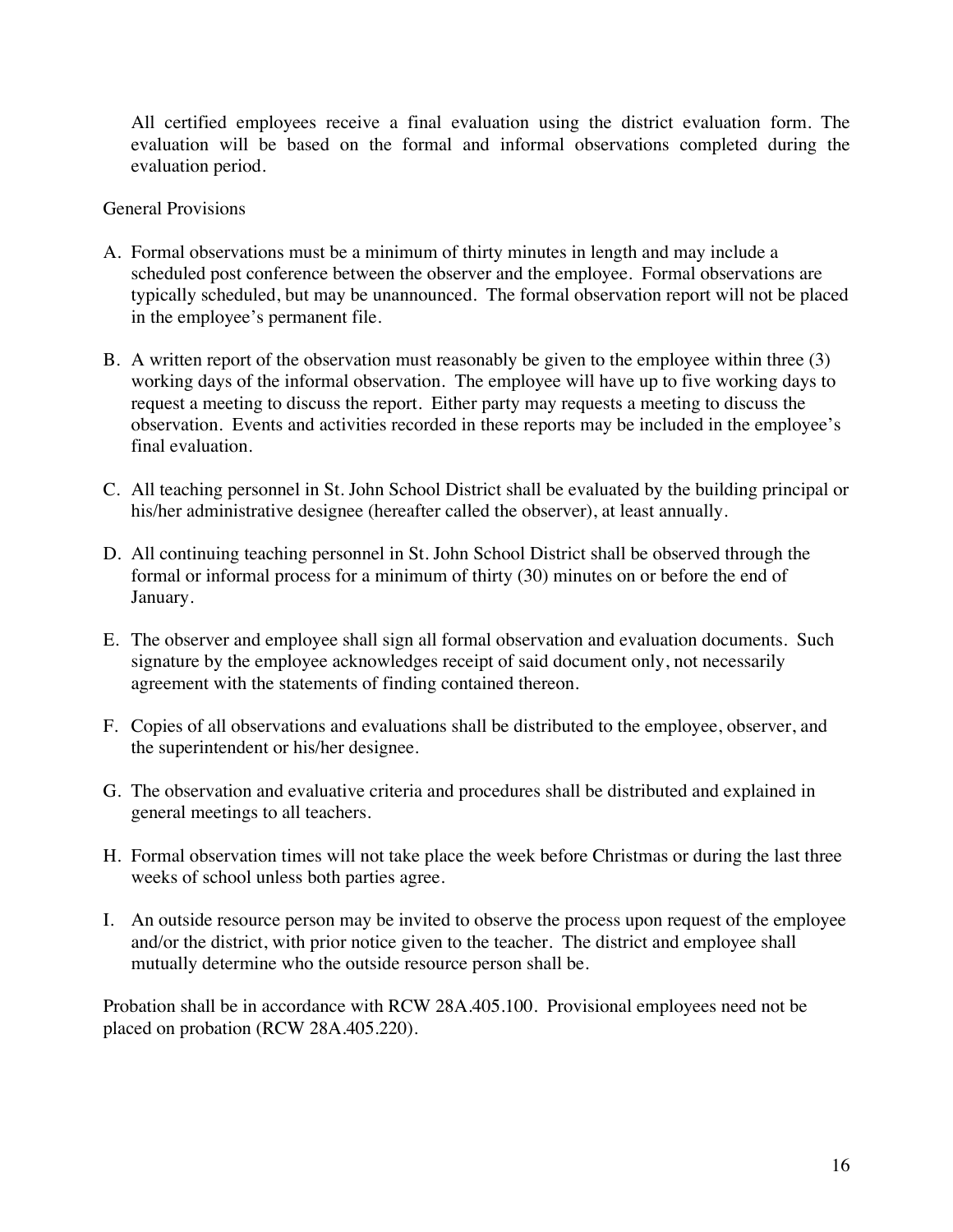All certified employees receive a final evaluation using the district evaluation form. The evaluation will be based on the formal and informal observations completed during the evaluation period.

## General Provisions

- A. Formal observations must be a minimum of thirty minutes in length and may include a scheduled post conference between the observer and the employee. Formal observations are typically scheduled, but may be unannounced. The formal observation report will not be placed in the employee's permanent file.
- B. A written report of the observation must reasonably be given to the employee within three (3) working days of the informal observation. The employee will have up to five working days to request a meeting to discuss the report. Either party may requests a meeting to discuss the observation. Events and activities recorded in these reports may be included in the employee's final evaluation.
- C. All teaching personnel in St. John School District shall be evaluated by the building principal or his/her administrative designee (hereafter called the observer), at least annually.
- D. All continuing teaching personnel in St. John School District shall be observed through the formal or informal process for a minimum of thirty (30) minutes on or before the end of January.
- E. The observer and employee shall sign all formal observation and evaluation documents. Such signature by the employee acknowledges receipt of said document only, not necessarily agreement with the statements of finding contained thereon.
- F. Copies of all observations and evaluations shall be distributed to the employee, observer, and the superintendent or his/her designee.
- G. The observation and evaluative criteria and procedures shall be distributed and explained in general meetings to all teachers.
- H. Formal observation times will not take place the week before Christmas or during the last three weeks of school unless both parties agree.
- I. An outside resource person may be invited to observe the process upon request of the employee and/or the district, with prior notice given to the teacher. The district and employee shall mutually determine who the outside resource person shall be.

Probation shall be in accordance with RCW 28A.405.100. Provisional employees need not be placed on probation (RCW 28A.405.220).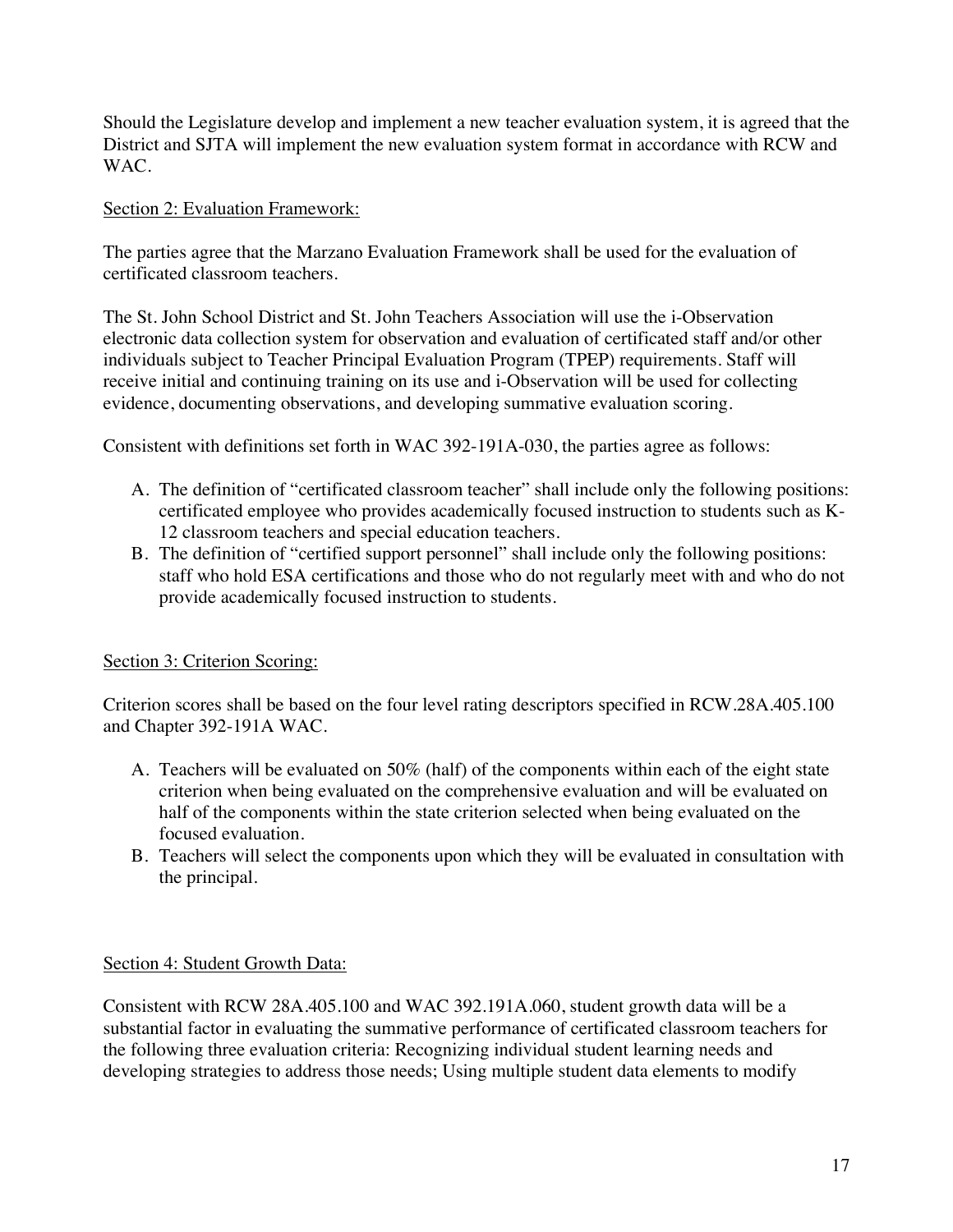Should the Legislature develop and implement a new teacher evaluation system, it is agreed that the District and SJTA will implement the new evaluation system format in accordance with RCW and WAC.

## Section 2: Evaluation Framework:

The parties agree that the Marzano Evaluation Framework shall be used for the evaluation of certificated classroom teachers.

The St. John School District and St. John Teachers Association will use the i-Observation electronic data collection system for observation and evaluation of certificated staff and/or other individuals subject to Teacher Principal Evaluation Program (TPEP) requirements. Staff will receive initial and continuing training on its use and i-Observation will be used for collecting evidence, documenting observations, and developing summative evaluation scoring.

Consistent with definitions set forth in WAC 392-191A-030, the parties agree as follows:

- A. The definition of "certificated classroom teacher" shall include only the following positions: certificated employee who provides academically focused instruction to students such as K-12 classroom teachers and special education teachers.
- B. The definition of "certified support personnel" shall include only the following positions: staff who hold ESA certifications and those who do not regularly meet with and who do not provide academically focused instruction to students.

# Section 3: Criterion Scoring:

Criterion scores shall be based on the four level rating descriptors specified in RCW.28A.405.100 and Chapter 392-191A WAC.

- A. Teachers will be evaluated on 50% (half) of the components within each of the eight state criterion when being evaluated on the comprehensive evaluation and will be evaluated on half of the components within the state criterion selected when being evaluated on the focused evaluation.
- B. Teachers will select the components upon which they will be evaluated in consultation with the principal.

## Section 4: Student Growth Data:

Consistent with RCW 28A.405.100 and WAC 392.191A.060, student growth data will be a substantial factor in evaluating the summative performance of certificated classroom teachers for the following three evaluation criteria: Recognizing individual student learning needs and developing strategies to address those needs; Using multiple student data elements to modify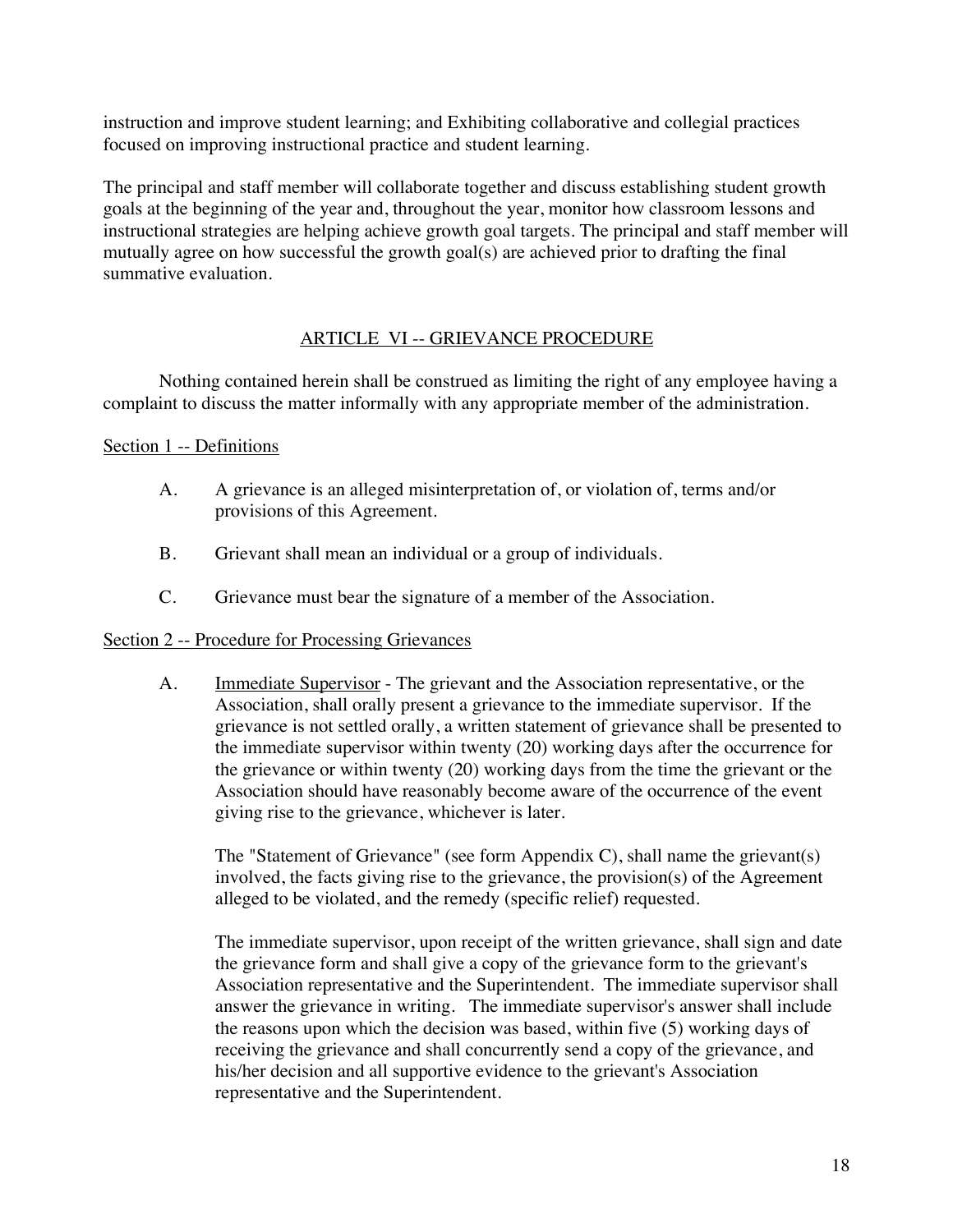instruction and improve student learning; and Exhibiting collaborative and collegial practices focused on improving instructional practice and student learning.

The principal and staff member will collaborate together and discuss establishing student growth goals at the beginning of the year and, throughout the year, monitor how classroom lessons and instructional strategies are helping achieve growth goal targets. The principal and staff member will mutually agree on how successful the growth goal(s) are achieved prior to drafting the final summative evaluation.

## ARTICLE VI -- GRIEVANCE PROCEDURE

Nothing contained herein shall be construed as limiting the right of any employee having a complaint to discuss the matter informally with any appropriate member of the administration.

## Section 1 -- Definitions

- A. A grievance is an alleged misinterpretation of, or violation of, terms and/or provisions of this Agreement.
- B. Grievant shall mean an individual or a group of individuals.
- C. Grievance must bear the signature of a member of the Association.

#### Section 2 -- Procedure for Processing Grievances

A. **Immediate Supervisor** - The grievant and the Association representative, or the Association, shall orally present a grievance to the immediate supervisor. If the grievance is not settled orally, a written statement of grievance shall be presented to the immediate supervisor within twenty (20) working days after the occurrence for the grievance or within twenty (20) working days from the time the grievant or the Association should have reasonably become aware of the occurrence of the event giving rise to the grievance, whichever is later.

The "Statement of Grievance" (see form Appendix C), shall name the grievant(s) involved, the facts giving rise to the grievance, the provision(s) of the Agreement alleged to be violated, and the remedy (specific relief) requested.

The immediate supervisor, upon receipt of the written grievance, shall sign and date the grievance form and shall give a copy of the grievance form to the grievant's Association representative and the Superintendent. The immediate supervisor shall answer the grievance in writing. The immediate supervisor's answer shall include the reasons upon which the decision was based, within five (5) working days of receiving the grievance and shall concurrently send a copy of the grievance, and his/her decision and all supportive evidence to the grievant's Association representative and the Superintendent.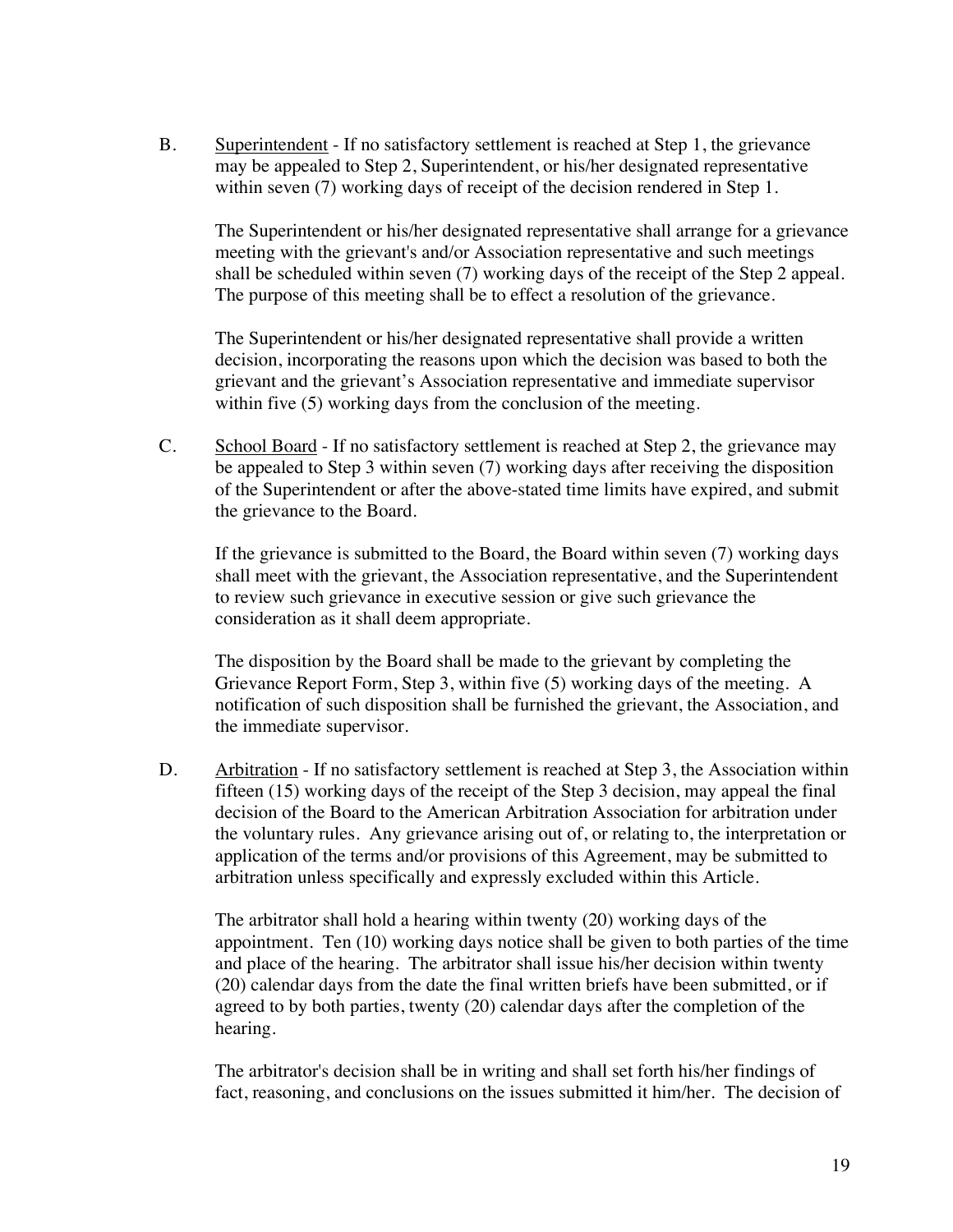B. Superintendent - If no satisfactory settlement is reached at Step 1, the grievance may be appealed to Step 2, Superintendent, or his/her designated representative within seven (7) working days of receipt of the decision rendered in Step 1.

The Superintendent or his/her designated representative shall arrange for a grievance meeting with the grievant's and/or Association representative and such meetings shall be scheduled within seven (7) working days of the receipt of the Step 2 appeal. The purpose of this meeting shall be to effect a resolution of the grievance.

The Superintendent or his/her designated representative shall provide a written decision, incorporating the reasons upon which the decision was based to both the grievant and the grievant's Association representative and immediate supervisor within five (5) working days from the conclusion of the meeting.

C. School Board - If no satisfactory settlement is reached at Step 2, the grievance may be appealed to Step 3 within seven (7) working days after receiving the disposition of the Superintendent or after the above-stated time limits have expired, and submit the grievance to the Board.

If the grievance is submitted to the Board, the Board within seven (7) working days shall meet with the grievant, the Association representative, and the Superintendent to review such grievance in executive session or give such grievance the consideration as it shall deem appropriate.

The disposition by the Board shall be made to the grievant by completing the Grievance Report Form, Step 3, within five (5) working days of the meeting. A notification of such disposition shall be furnished the grievant, the Association, and the immediate supervisor.

D. Arbitration - If no satisfactory settlement is reached at Step 3, the Association within fifteen (15) working days of the receipt of the Step 3 decision, may appeal the final decision of the Board to the American Arbitration Association for arbitration under the voluntary rules. Any grievance arising out of, or relating to, the interpretation or application of the terms and/or provisions of this Agreement, may be submitted to arbitration unless specifically and expressly excluded within this Article.

The arbitrator shall hold a hearing within twenty (20) working days of the appointment. Ten (10) working days notice shall be given to both parties of the time and place of the hearing. The arbitrator shall issue his/her decision within twenty (20) calendar days from the date the final written briefs have been submitted, or if agreed to by both parties, twenty (20) calendar days after the completion of the hearing.

The arbitrator's decision shall be in writing and shall set forth his/her findings of fact, reasoning, and conclusions on the issues submitted it him/her. The decision of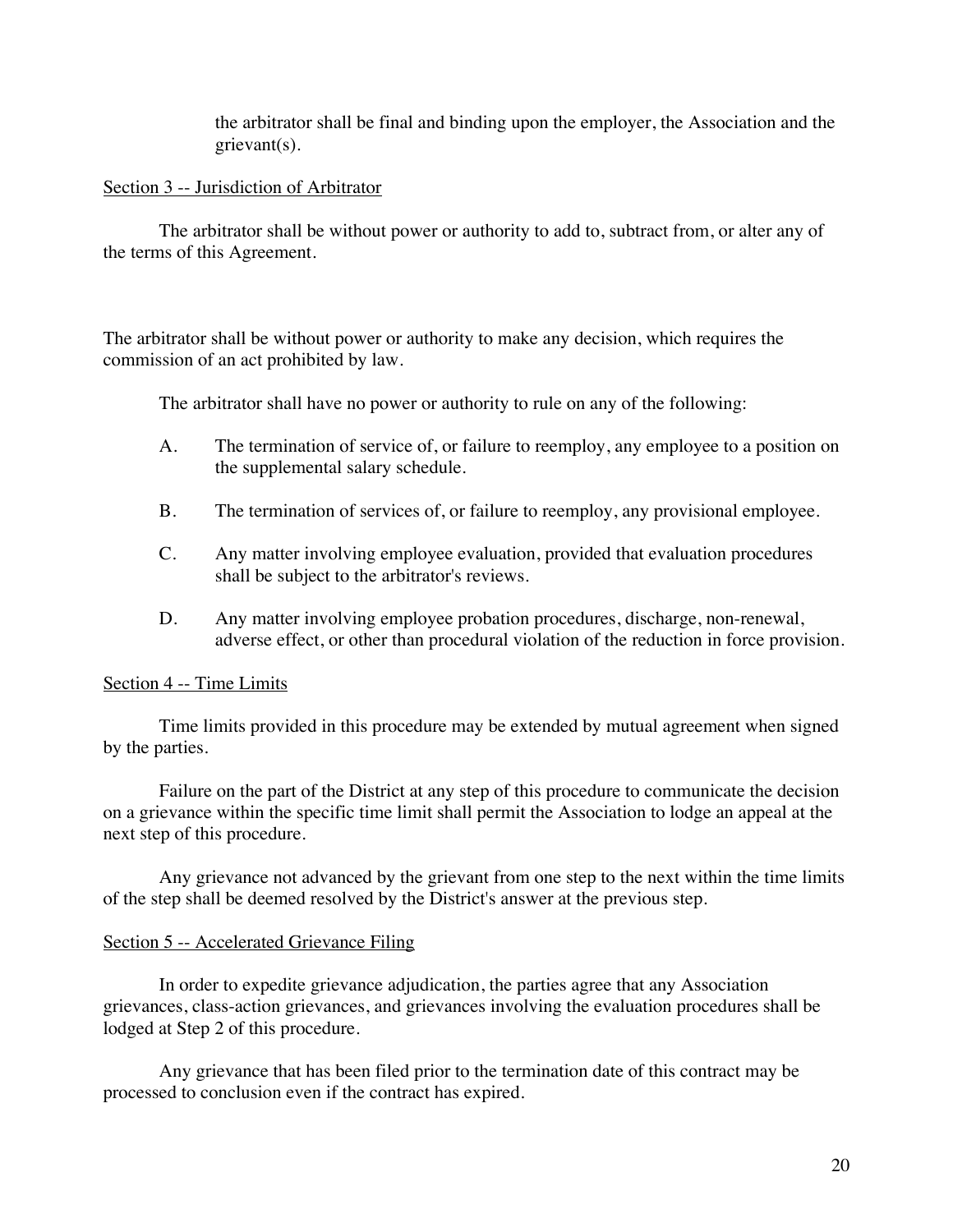the arbitrator shall be final and binding upon the employer, the Association and the grievant(s).

### Section 3 -- Jurisdiction of Arbitrator

The arbitrator shall be without power or authority to add to, subtract from, or alter any of the terms of this Agreement.

The arbitrator shall be without power or authority to make any decision, which requires the commission of an act prohibited by law.

The arbitrator shall have no power or authority to rule on any of the following:

- A. The termination of service of, or failure to reemploy, any employee to a position on the supplemental salary schedule.
- B. The termination of services of, or failure to reemploy, any provisional employee.
- C. Any matter involving employee evaluation, provided that evaluation procedures shall be subject to the arbitrator's reviews.
- D. Any matter involving employee probation procedures, discharge, non-renewal, adverse effect, or other than procedural violation of the reduction in force provision.

## Section 4 -- Time Limits

Time limits provided in this procedure may be extended by mutual agreement when signed by the parties.

Failure on the part of the District at any step of this procedure to communicate the decision on a grievance within the specific time limit shall permit the Association to lodge an appeal at the next step of this procedure.

Any grievance not advanced by the grievant from one step to the next within the time limits of the step shall be deemed resolved by the District's answer at the previous step.

#### Section 5 -- Accelerated Grievance Filing

In order to expedite grievance adjudication, the parties agree that any Association grievances, class-action grievances, and grievances involving the evaluation procedures shall be lodged at Step 2 of this procedure.

Any grievance that has been filed prior to the termination date of this contract may be processed to conclusion even if the contract has expired.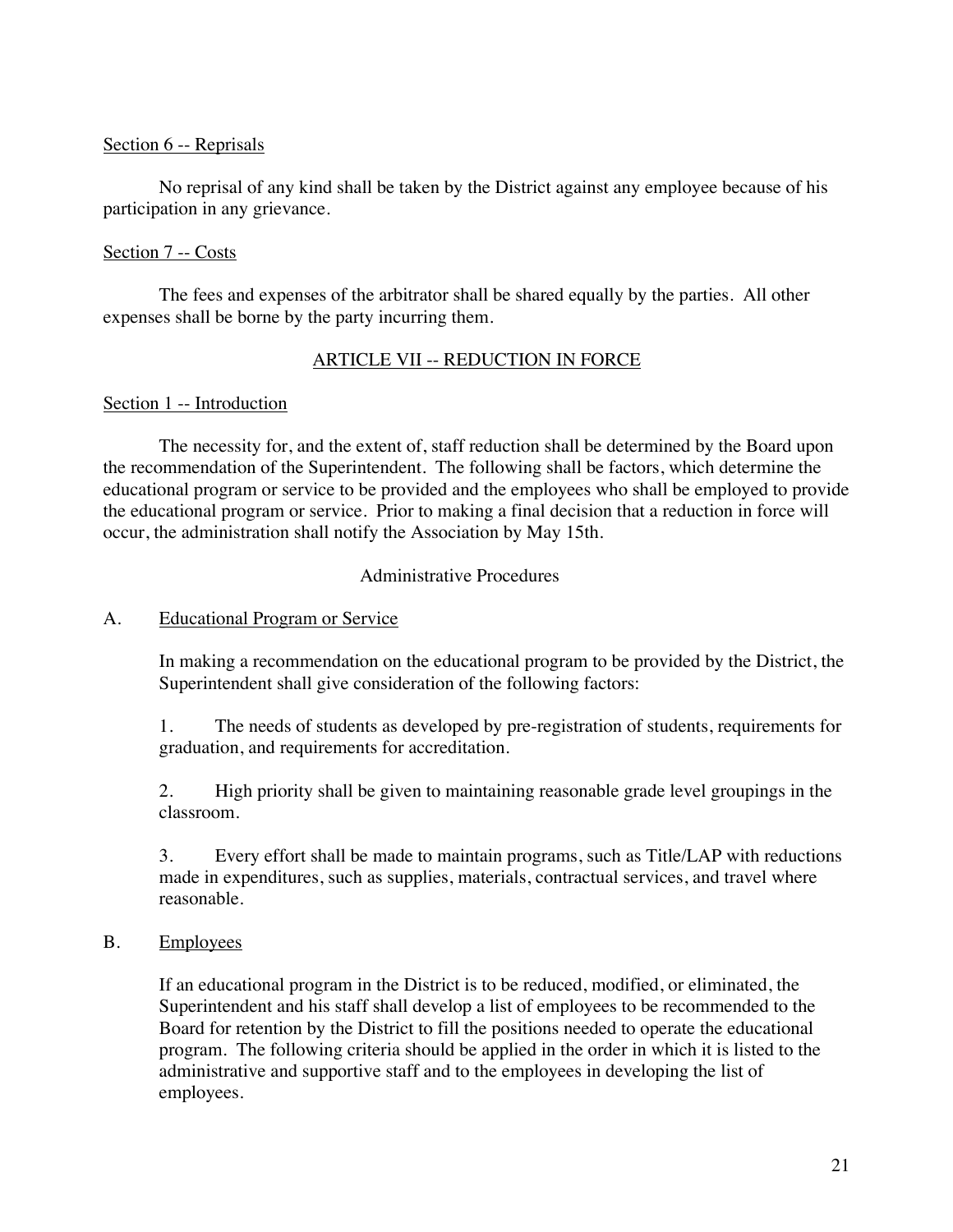## Section 6 -- Reprisals

No reprisal of any kind shall be taken by the District against any employee because of his participation in any grievance.

## Section 7 -- Costs

The fees and expenses of the arbitrator shall be shared equally by the parties. All other expenses shall be borne by the party incurring them.

## ARTICLE VII -- REDUCTION IN FORCE

## Section 1 -- Introduction

The necessity for, and the extent of, staff reduction shall be determined by the Board upon the recommendation of the Superintendent. The following shall be factors, which determine the educational program or service to be provided and the employees who shall be employed to provide the educational program or service. Prior to making a final decision that a reduction in force will occur, the administration shall notify the Association by May 15th.

## Administrative Procedures

## A. Educational Program or Service

In making a recommendation on the educational program to be provided by the District, the Superintendent shall give consideration of the following factors:

1. The needs of students as developed by pre-registration of students, requirements for graduation, and requirements for accreditation.

2. High priority shall be given to maintaining reasonable grade level groupings in the classroom.

3. Every effort shall be made to maintain programs, such as Title/LAP with reductions made in expenditures, such as supplies, materials, contractual services, and travel where reasonable.

## B. Employees

If an educational program in the District is to be reduced, modified, or eliminated, the Superintendent and his staff shall develop a list of employees to be recommended to the Board for retention by the District to fill the positions needed to operate the educational program. The following criteria should be applied in the order in which it is listed to the administrative and supportive staff and to the employees in developing the list of employees.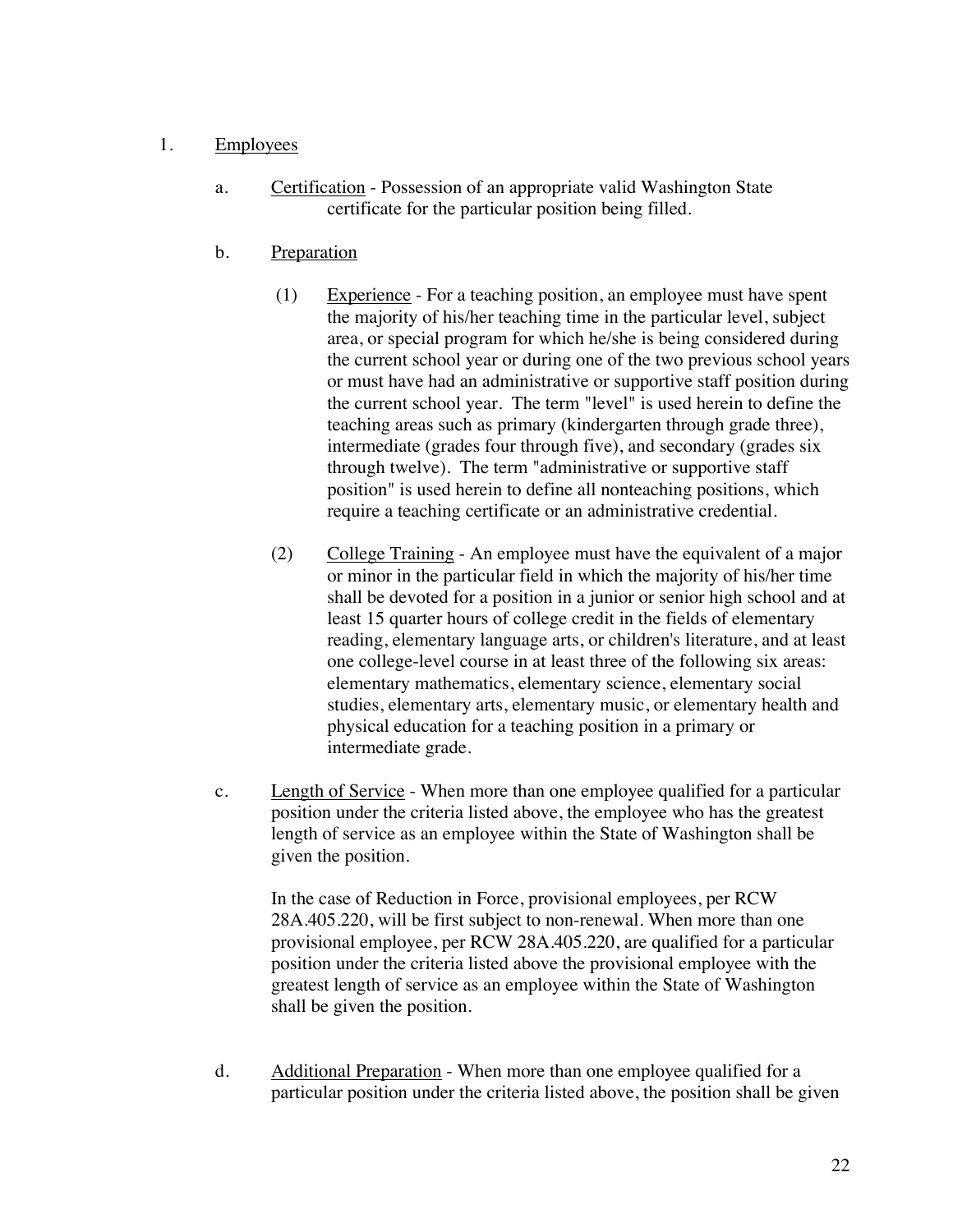## 1. Employees

- a. Certification Possession of an appropriate valid Washington State certificate for the particular position being filled.
- b. Preparation
	- $(1)$  Experience For a teaching position, an employee must have spent the majority of his/her teaching time in the particular level, subject area, or special program for which he/she is being considered during the current school year or during one of the two previous school years or must have had an administrative or supportive staff position during the current school year. The term "level" is used herein to define the teaching areas such as primary (kindergarten through grade three), intermediate (grades four through five), and secondary (grades six through twelve). The term "administrative or supportive staff position" is used herein to define all nonteaching positions, which require a teaching certificate or an administrative credential.
	- (2) College Training An employee must have the equivalent of a major or minor in the particular field in which the majority of his/her time shall be devoted for a position in a junior or senior high school and at least 15 quarter hours of college credit in the fields of elementary reading, elementary language arts, or children's literature, and at least one college-level course in at least three of the following six areas: elementary mathematics, elementary science, elementary social studies, elementary arts, elementary music, or elementary health and physical education for a teaching position in a primary or intermediate grade.
- c. Length of Service When more than one employee qualified for a particular position under the criteria listed above, the employee who has the greatest length of service as an employee within the State of Washington shall be given the position.

In the case of Reduction in Force, provisional employees, per RCW 28A.405.220, will be first subject to non-renewal. When more than one provisional employee, per RCW 28A.405.220, are qualified for a particular position under the criteria listed above the provisional employee with the greatest length of service as an employee within the State of Washington shall be given the position.

d. Additional Preparation - When more than one employee qualified for a particular position under the criteria listed above, the position shall be given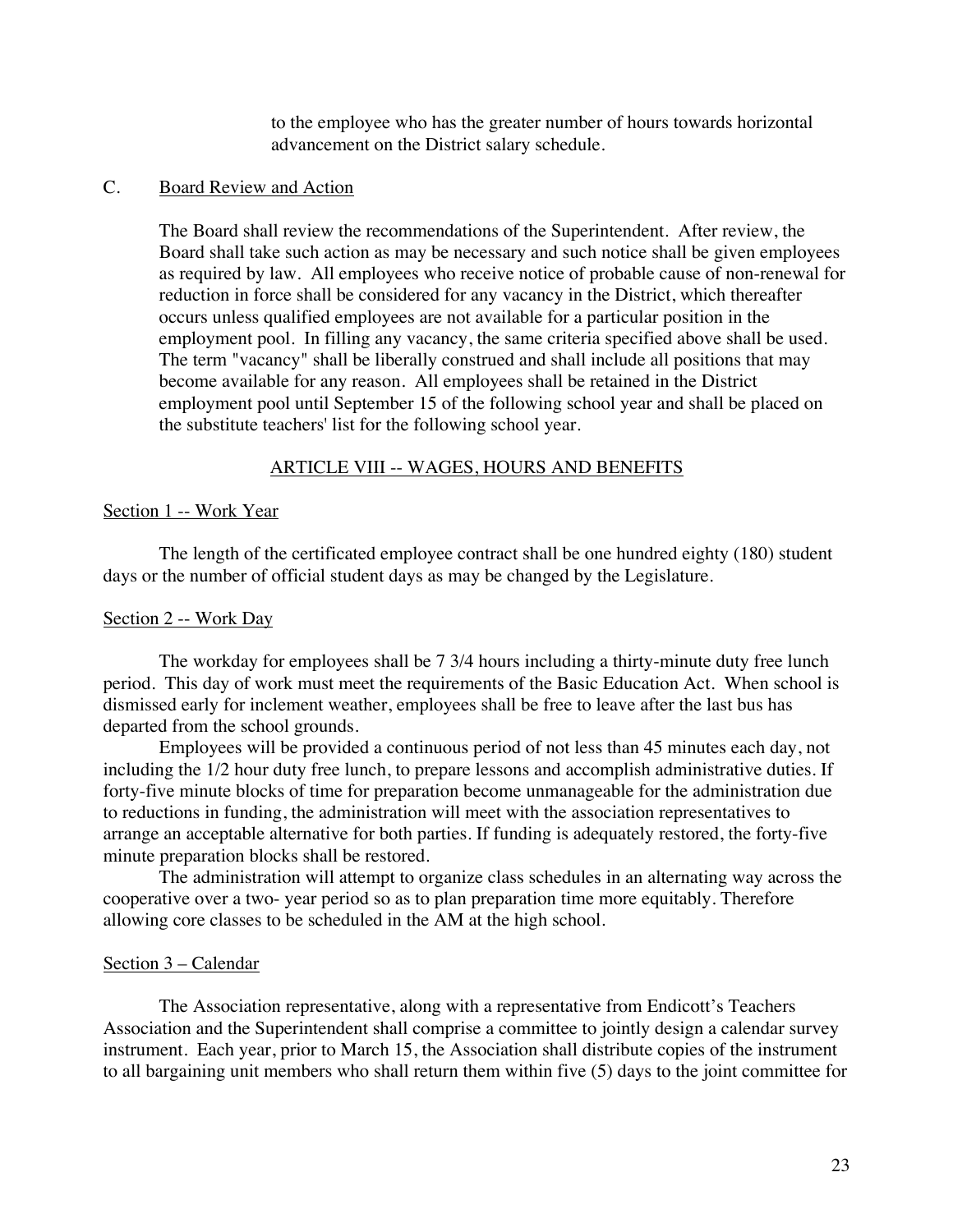to the employee who has the greater number of hours towards horizontal advancement on the District salary schedule.

### C. Board Review and Action

The Board shall review the recommendations of the Superintendent. After review, the Board shall take such action as may be necessary and such notice shall be given employees as required by law. All employees who receive notice of probable cause of non-renewal for reduction in force shall be considered for any vacancy in the District, which thereafter occurs unless qualified employees are not available for a particular position in the employment pool. In filling any vacancy, the same criteria specified above shall be used. The term "vacancy" shall be liberally construed and shall include all positions that may become available for any reason. All employees shall be retained in the District employment pool until September 15 of the following school year and shall be placed on the substitute teachers' list for the following school year.

#### ARTICLE VIII -- WAGES, HOURS AND BENEFITS

#### Section 1 -- Work Year

The length of the certificated employee contract shall be one hundred eighty (180) student days or the number of official student days as may be changed by the Legislature.

#### Section 2 -- Work Day

The workday for employees shall be 7 3/4 hours including a thirty-minute duty free lunch period. This day of work must meet the requirements of the Basic Education Act. When school is dismissed early for inclement weather, employees shall be free to leave after the last bus has departed from the school grounds.

Employees will be provided a continuous period of not less than 45 minutes each day, not including the 1/2 hour duty free lunch, to prepare lessons and accomplish administrative duties. If forty-five minute blocks of time for preparation become unmanageable for the administration due to reductions in funding, the administration will meet with the association representatives to arrange an acceptable alternative for both parties. If funding is adequately restored, the forty-five minute preparation blocks shall be restored.

The administration will attempt to organize class schedules in an alternating way across the cooperative over a two- year period so as to plan preparation time more equitably. Therefore allowing core classes to be scheduled in the AM at the high school.

#### Section 3 – Calendar

The Association representative, along with a representative from Endicott's Teachers Association and the Superintendent shall comprise a committee to jointly design a calendar survey instrument. Each year, prior to March 15, the Association shall distribute copies of the instrument to all bargaining unit members who shall return them within five (5) days to the joint committee for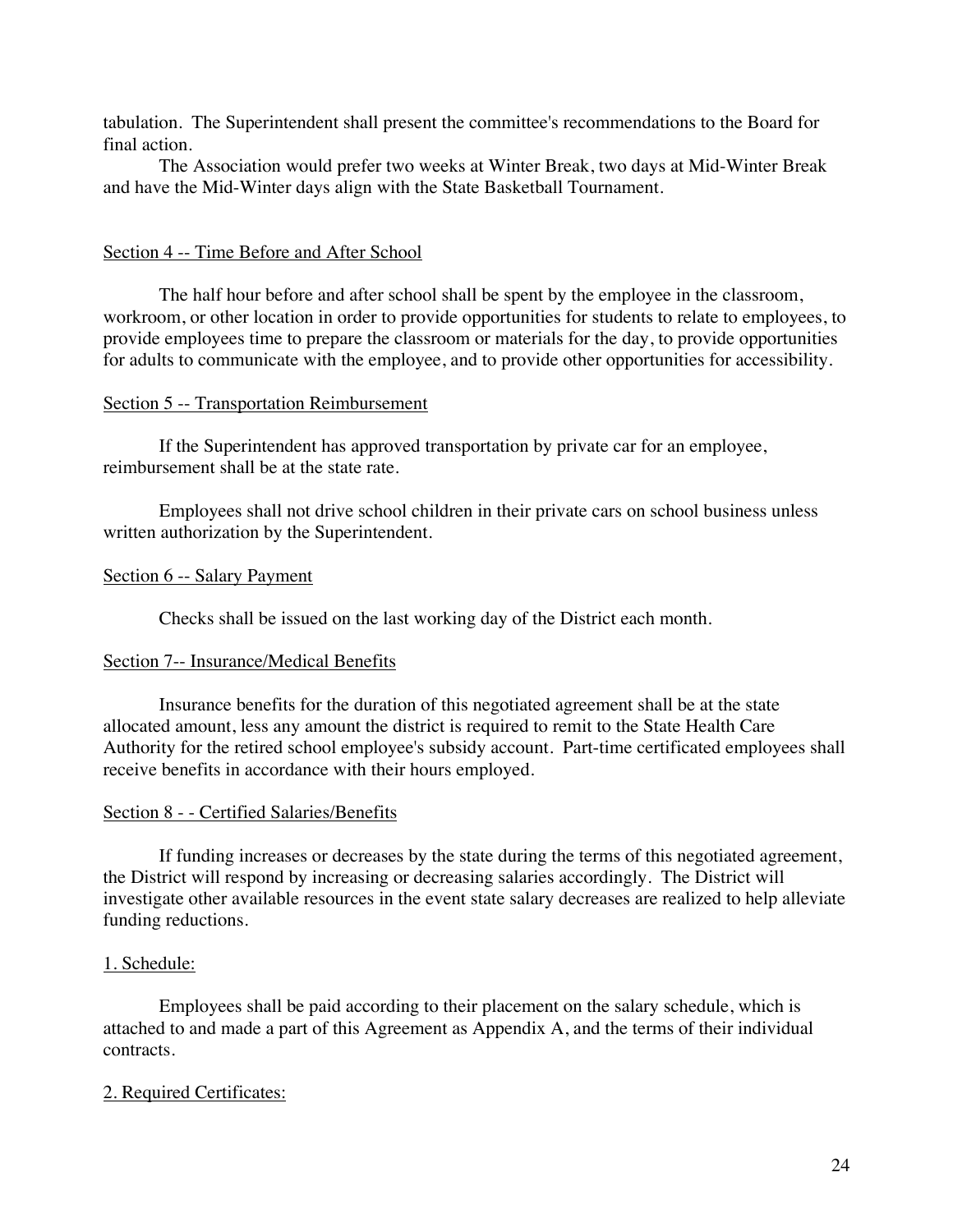tabulation. The Superintendent shall present the committee's recommendations to the Board for final action.

The Association would prefer two weeks at Winter Break, two days at Mid-Winter Break and have the Mid-Winter days align with the State Basketball Tournament.

### Section 4 -- Time Before and After School

The half hour before and after school shall be spent by the employee in the classroom, workroom, or other location in order to provide opportunities for students to relate to employees, to provide employees time to prepare the classroom or materials for the day, to provide opportunities for adults to communicate with the employee, and to provide other opportunities for accessibility.

#### Section 5 -- Transportation Reimbursement

If the Superintendent has approved transportation by private car for an employee, reimbursement shall be at the state rate.

Employees shall not drive school children in their private cars on school business unless written authorization by the Superintendent.

#### Section 6 -- Salary Payment

Checks shall be issued on the last working day of the District each month.

#### Section 7-- Insurance/Medical Benefits

Insurance benefits for the duration of this negotiated agreement shall be at the state allocated amount, less any amount the district is required to remit to the State Health Care Authority for the retired school employee's subsidy account. Part-time certificated employees shall receive benefits in accordance with their hours employed.

#### Section 8 - - Certified Salaries/Benefits

If funding increases or decreases by the state during the terms of this negotiated agreement, the District will respond by increasing or decreasing salaries accordingly. The District will investigate other available resources in the event state salary decreases are realized to help alleviate funding reductions.

#### 1. Schedule:

Employees shall be paid according to their placement on the salary schedule, which is attached to and made a part of this Agreement as Appendix A, and the terms of their individual contracts.

#### 2. Required Certificates: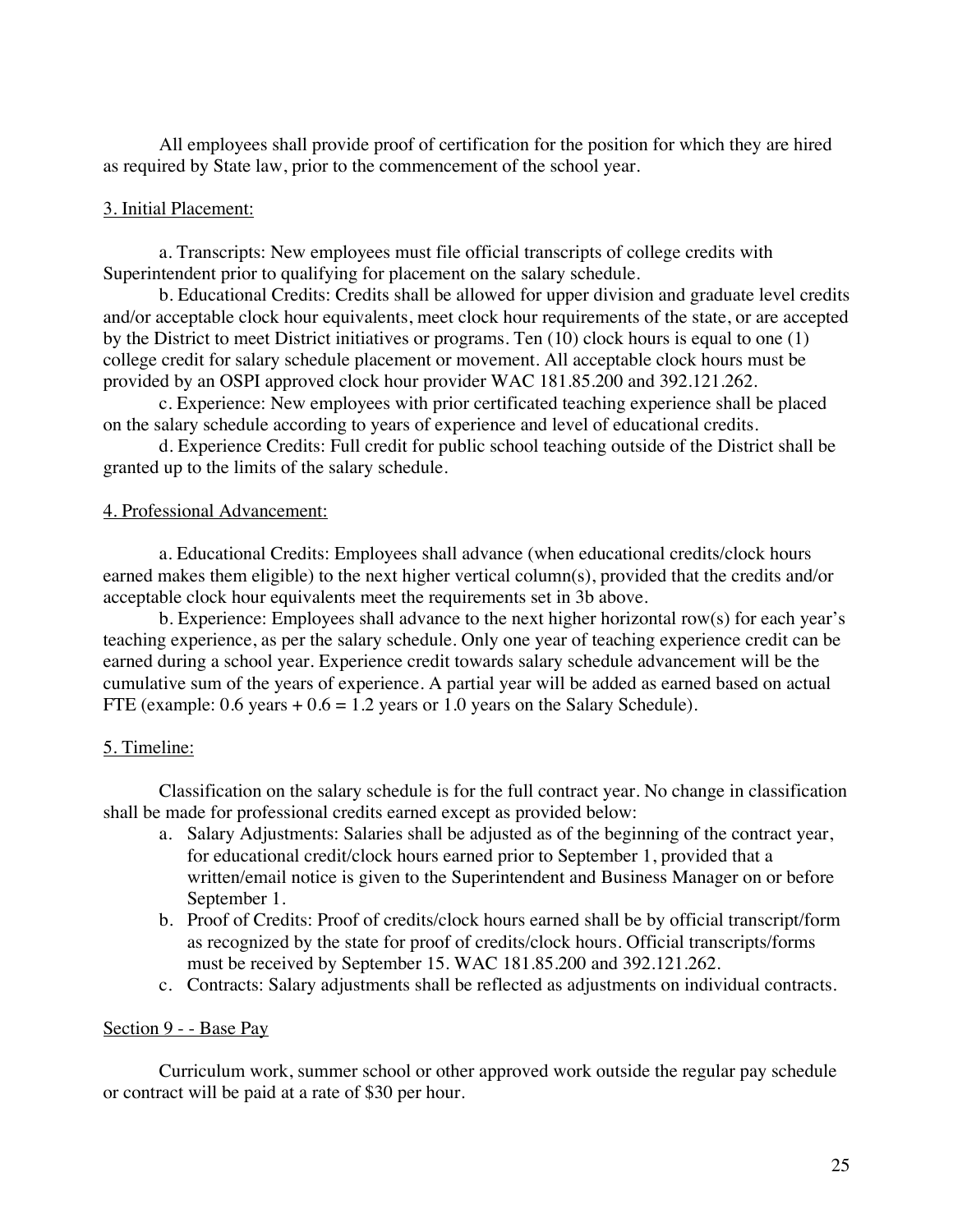All employees shall provide proof of certification for the position for which they are hired as required by State law, prior to the commencement of the school year.

#### 3. Initial Placement:

a. Transcripts: New employees must file official transcripts of college credits with Superintendent prior to qualifying for placement on the salary schedule.

b. Educational Credits: Credits shall be allowed for upper division and graduate level credits and/or acceptable clock hour equivalents, meet clock hour requirements of the state, or are accepted by the District to meet District initiatives or programs. Ten (10) clock hours is equal to one (1) college credit for salary schedule placement or movement. All acceptable clock hours must be provided by an OSPI approved clock hour provider WAC 181.85.200 and 392.121.262.

c. Experience: New employees with prior certificated teaching experience shall be placed on the salary schedule according to years of experience and level of educational credits.

d. Experience Credits: Full credit for public school teaching outside of the District shall be granted up to the limits of the salary schedule.

#### 4. Professional Advancement:

a. Educational Credits: Employees shall advance (when educational credits/clock hours earned makes them eligible) to the next higher vertical column(s), provided that the credits and/or acceptable clock hour equivalents meet the requirements set in 3b above.

b. Experience: Employees shall advance to the next higher horizontal row(s) for each year's teaching experience, as per the salary schedule. Only one year of teaching experience credit can be earned during a school year. Experience credit towards salary schedule advancement will be the cumulative sum of the years of experience. A partial year will be added as earned based on actual FTE (example:  $0.6$  years  $+ 0.6 = 1.2$  years or 1.0 years on the Salary Schedule).

#### 5. Timeline:

Classification on the salary schedule is for the full contract year. No change in classification shall be made for professional credits earned except as provided below:

- a. Salary Adjustments: Salaries shall be adjusted as of the beginning of the contract year, for educational credit/clock hours earned prior to September 1, provided that a written/email notice is given to the Superintendent and Business Manager on or before September 1.
- b. Proof of Credits: Proof of credits/clock hours earned shall be by official transcript/form as recognized by the state for proof of credits/clock hours. Official transcripts/forms must be received by September 15. WAC 181.85.200 and 392.121.262.
- c. Contracts: Salary adjustments shall be reflected as adjustments on individual contracts.

#### Section 9 - - Base Pay

Curriculum work, summer school or other approved work outside the regular pay schedule or contract will be paid at a rate of \$30 per hour.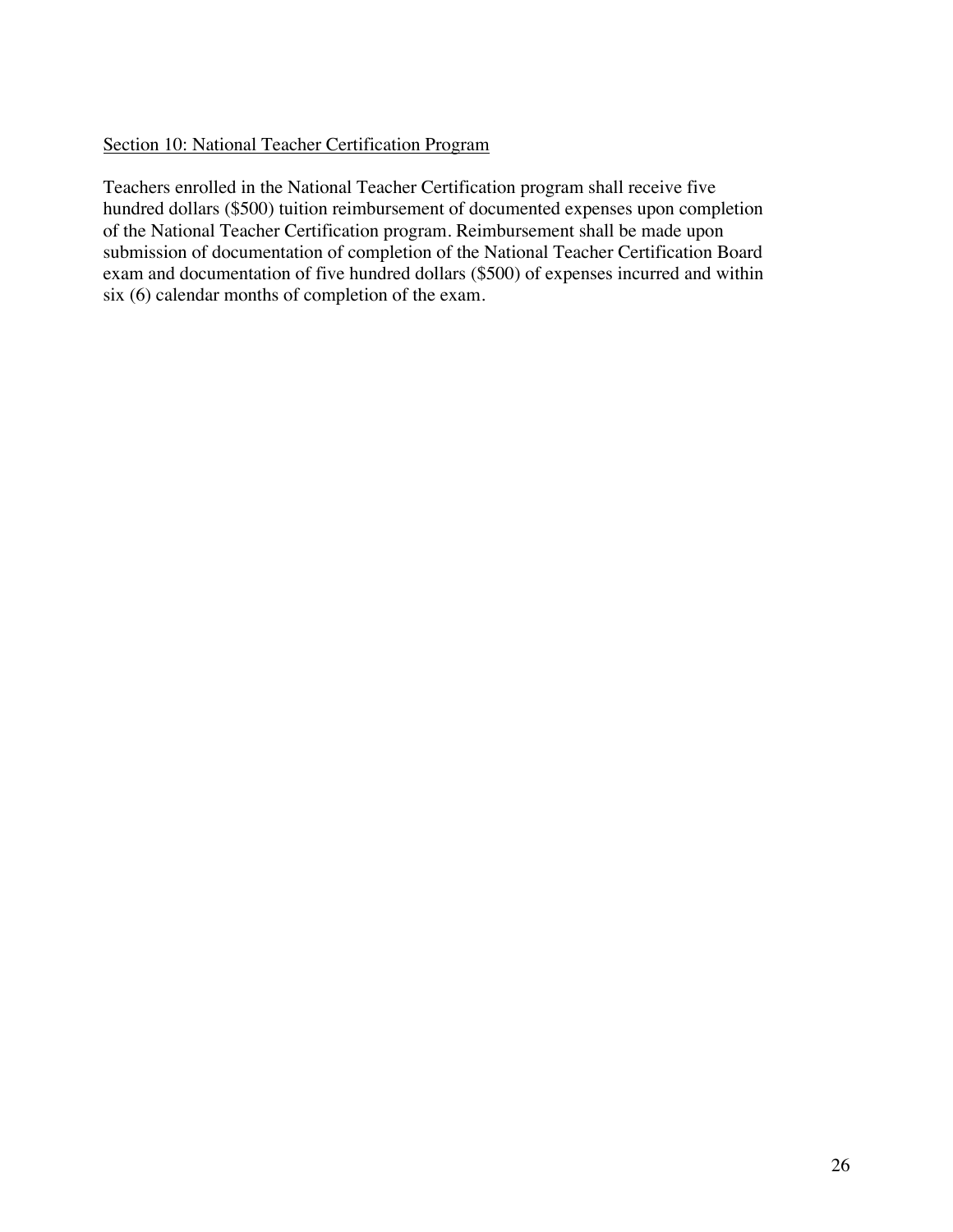## Section 10: National Teacher Certification Program

Teachers enrolled in the National Teacher Certification program shall receive five hundred dollars (\$500) tuition reimbursement of documented expenses upon completion of the National Teacher Certification program. Reimbursement shall be made upon submission of documentation of completion of the National Teacher Certification Board exam and documentation of five hundred dollars (\$500) of expenses incurred and within six (6) calendar months of completion of the exam.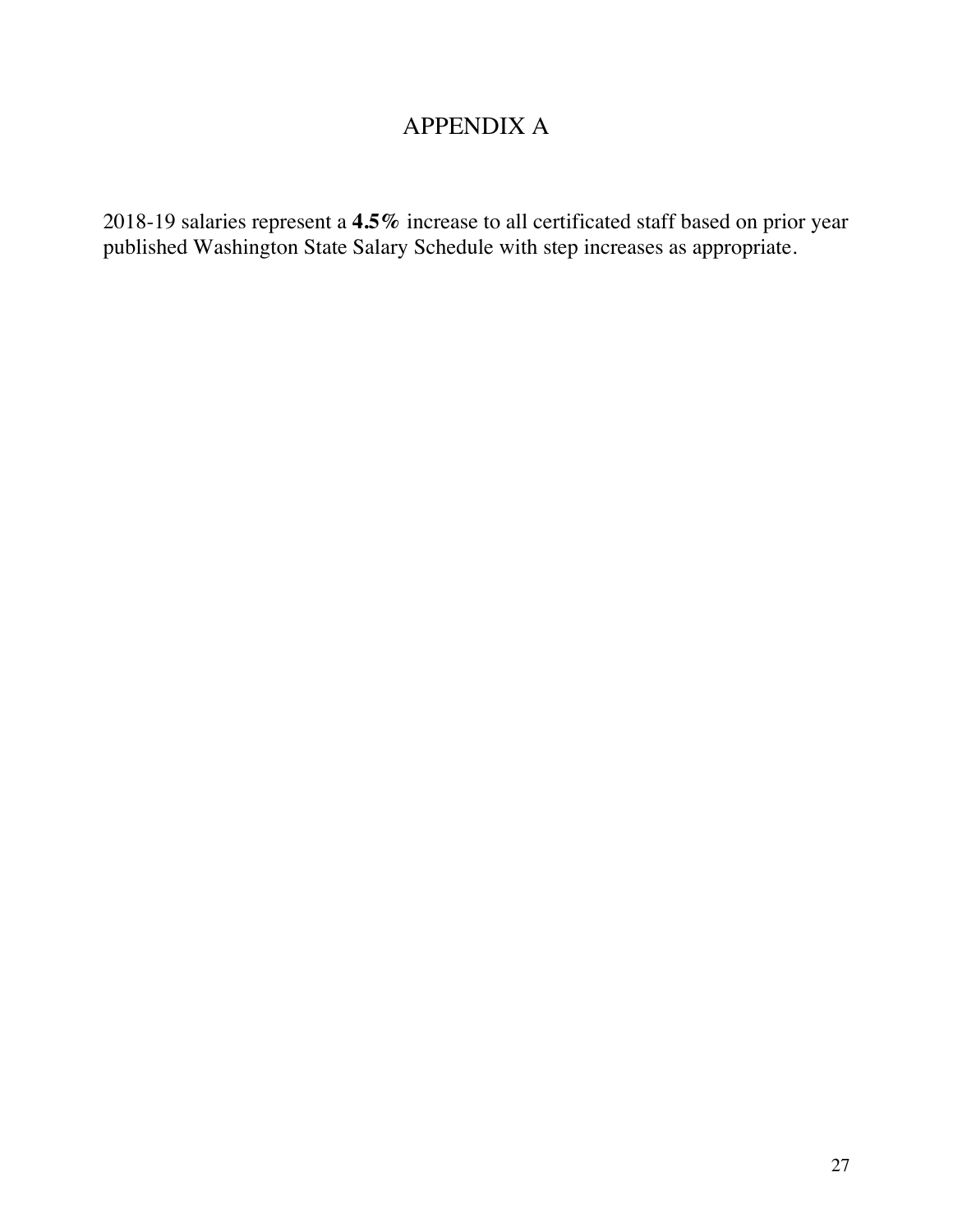# APPENDIX A

2018-19 salaries represent a **4.5%** increase to all certificated staff based on prior year published Washington State Salary Schedule with step increases as appropriate.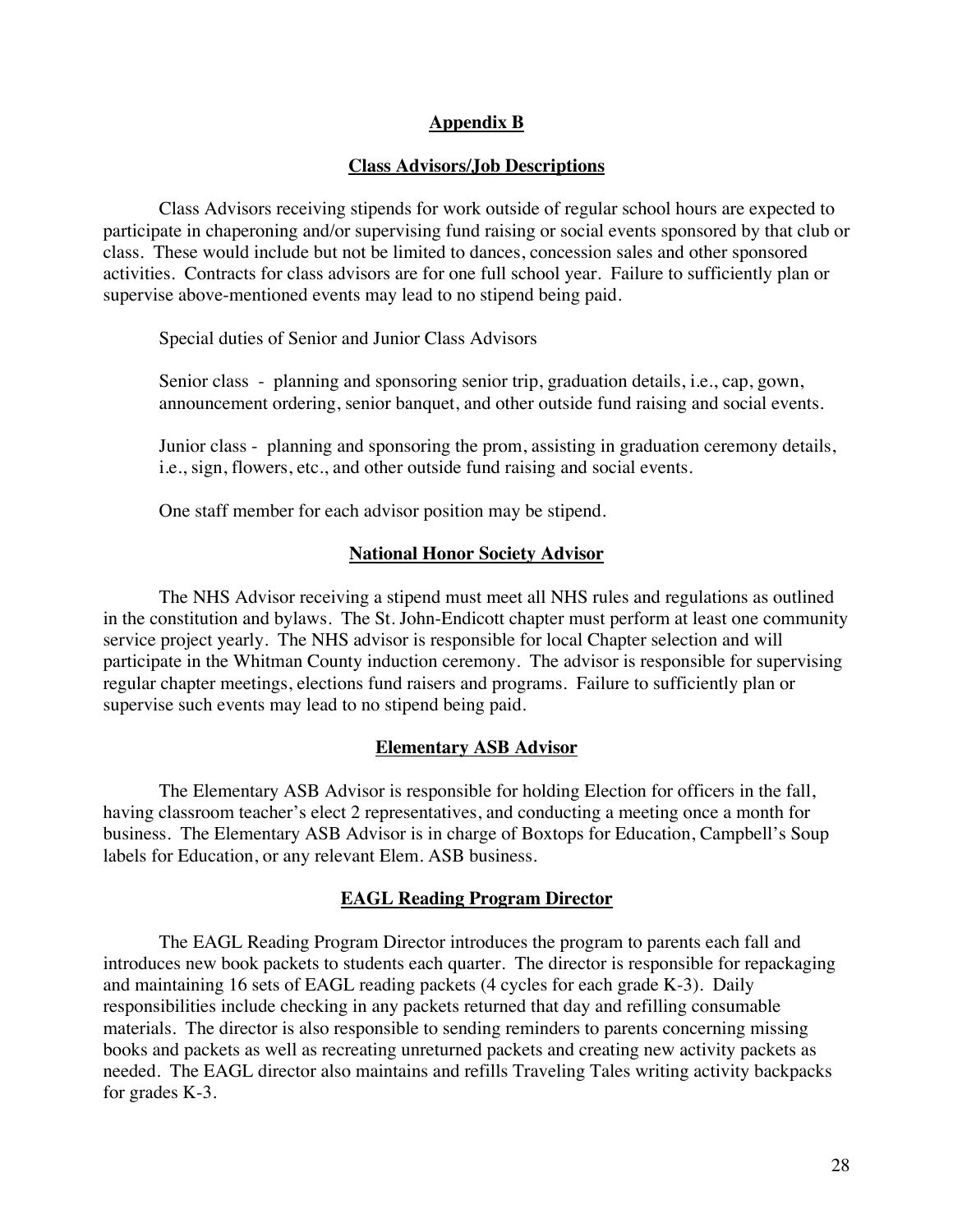## **Appendix B**

#### **Class Advisors/Job Descriptions**

Class Advisors receiving stipends for work outside of regular school hours are expected to participate in chaperoning and/or supervising fund raising or social events sponsored by that club or class. These would include but not be limited to dances, concession sales and other sponsored activities. Contracts for class advisors are for one full school year. Failure to sufficiently plan or supervise above-mentioned events may lead to no stipend being paid.

Special duties of Senior and Junior Class Advisors

Senior class - planning and sponsoring senior trip, graduation details, i.e., cap, gown, announcement ordering, senior banquet, and other outside fund raising and social events.

Junior class - planning and sponsoring the prom, assisting in graduation ceremony details, i.e., sign, flowers, etc., and other outside fund raising and social events.

One staff member for each advisor position may be stipend.

#### **National Honor Society Advisor**

The NHS Advisor receiving a stipend must meet all NHS rules and regulations as outlined in the constitution and bylaws. The St. John-Endicott chapter must perform at least one community service project yearly. The NHS advisor is responsible for local Chapter selection and will participate in the Whitman County induction ceremony. The advisor is responsible for supervising regular chapter meetings, elections fund raisers and programs. Failure to sufficiently plan or supervise such events may lead to no stipend being paid.

#### **Elementary ASB Advisor**

The Elementary ASB Advisor is responsible for holding Election for officers in the fall, having classroom teacher's elect 2 representatives, and conducting a meeting once a month for business. The Elementary ASB Advisor is in charge of Boxtops for Education, Campbell's Soup labels for Education, or any relevant Elem. ASB business.

#### **EAGL Reading Program Director**

The EAGL Reading Program Director introduces the program to parents each fall and introduces new book packets to students each quarter. The director is responsible for repackaging and maintaining 16 sets of EAGL reading packets (4 cycles for each grade K-3). Daily responsibilities include checking in any packets returned that day and refilling consumable materials. The director is also responsible to sending reminders to parents concerning missing books and packets as well as recreating unreturned packets and creating new activity packets as needed. The EAGL director also maintains and refills Traveling Tales writing activity backpacks for grades K-3.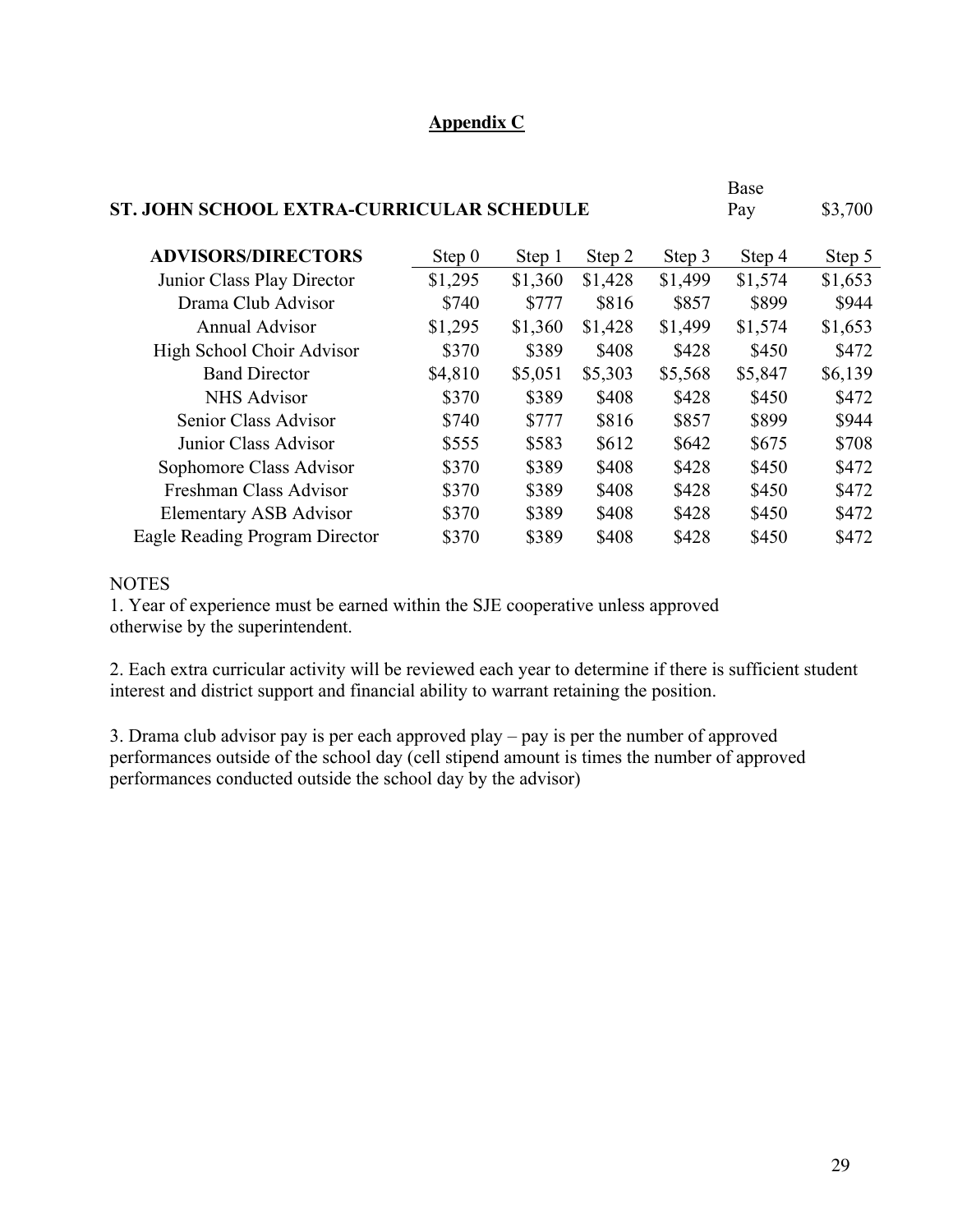# **Appendix C**

|                                           |          |         |         |         | Base    |         |
|-------------------------------------------|----------|---------|---------|---------|---------|---------|
| ST. JOHN SCHOOL EXTRA-CURRICULAR SCHEDULE |          |         |         |         | Pay     | \$3,700 |
|                                           |          |         |         |         |         |         |
| <b>ADVISORS/DIRECTORS</b>                 | Step $0$ | Step 1  | Step 2  | Step 3  | Step 4  | Step 5  |
| Junior Class Play Director                | \$1,295  | \$1,360 | \$1,428 | \$1,499 | \$1,574 | \$1,653 |
| Drama Club Advisor                        | \$740    | \$777   | \$816   | \$857   | \$899   | \$944   |
| <b>Annual Advisor</b>                     | \$1,295  | \$1,360 | \$1,428 | \$1,499 | \$1,574 | \$1,653 |
| High School Choir Advisor                 | \$370    | \$389   | \$408   | \$428   | \$450   | \$472   |
| <b>Band Director</b>                      | \$4,810  | \$5,051 | \$5,303 | \$5,568 | \$5,847 | \$6,139 |
| <b>NHS Advisor</b>                        | \$370    | \$389   | \$408   | \$428   | \$450   | \$472   |
| Senior Class Advisor                      | \$740    | \$777   | \$816   | \$857   | \$899   | \$944   |
| Junior Class Advisor                      | \$555    | \$583   | \$612   | \$642   | \$675   | \$708   |
| Sophomore Class Advisor                   | \$370    | \$389   | \$408   | \$428   | \$450   | \$472   |
| Freshman Class Advisor                    | \$370    | \$389   | \$408   | \$428   | \$450   | \$472   |
| <b>Elementary ASB Advisor</b>             | \$370    | \$389   | \$408   | \$428   | \$450   | \$472   |
| Eagle Reading Program Director            | \$370    | \$389   | \$408   | \$428   | \$450   | \$472   |
|                                           |          |         |         |         |         |         |

#### **NOTES**

1. Year of experience must be earned within the SJE cooperative unless approved otherwise by the superintendent.

2. Each extra curricular activity will be reviewed each year to determine if there is sufficient student interest and district support and financial ability to warrant retaining the position.

3. Drama club advisor pay is per each approved play – pay is per the number of approved performances outside of the school day (cell stipend amount is times the number of approved performances conducted outside the school day by the advisor)

 $\mathbf{D}$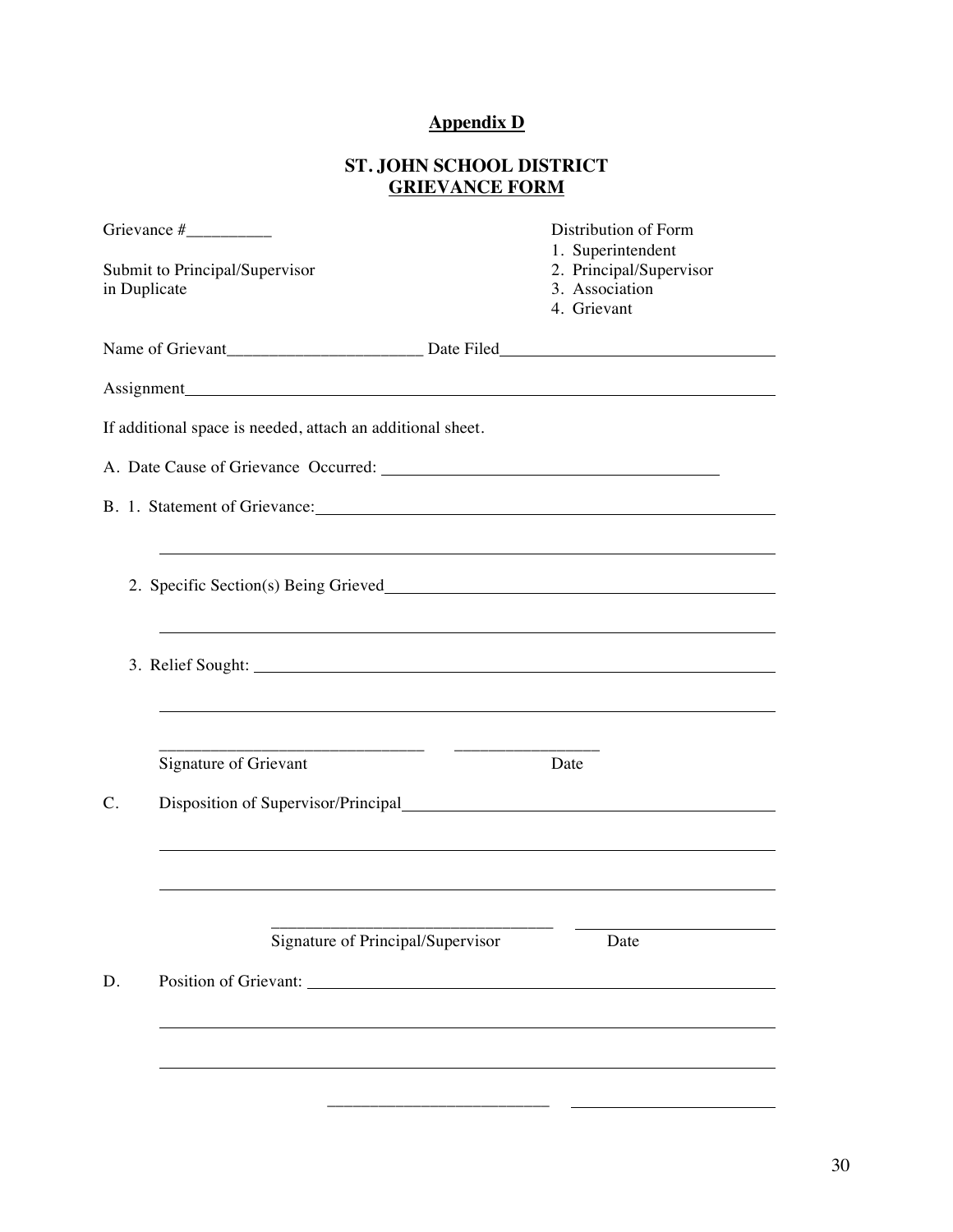# **Appendix D**

# **ST. JOHN SCHOOL DISTRICT GRIEVANCE FORM**

|              |                                                                                                                                                                                                                                | Distribution of Form<br>1. Superintendent                |
|--------------|--------------------------------------------------------------------------------------------------------------------------------------------------------------------------------------------------------------------------------|----------------------------------------------------------|
| in Duplicate | Submit to Principal/Supervisor                                                                                                                                                                                                 | 2. Principal/Supervisor<br>3. Association<br>4. Grievant |
|              |                                                                                                                                                                                                                                |                                                          |
|              |                                                                                                                                                                                                                                |                                                          |
|              | If additional space is needed, attach an additional sheet.                                                                                                                                                                     |                                                          |
|              |                                                                                                                                                                                                                                |                                                          |
|              | B. 1. Statement of Grievance: University of American control of American control of American control of American control of American control of American control of American control of American control of American control o |                                                          |
|              |                                                                                                                                                                                                                                |                                                          |
|              | 2. Specific Section(s) Being Grieved                                                                                                                                                                                           |                                                          |
|              | ,我们也不会有什么。""我们的人,我们也不会有什么?""我们的人,我们也不会有什么?""我们的人,我们也不会有什么?""我们的人,我们也不会有什么?""我们的人                                                                                                                                               |                                                          |
|              | 3. Relief Sought: Note of the same state of the same state of the same state of the same state of the same state of the same state of the same state of the same state of the same state of the same state of the same state o |                                                          |
|              |                                                                                                                                                                                                                                |                                                          |
|              |                                                                                                                                                                                                                                |                                                          |
|              | Signature of Grievant                                                                                                                                                                                                          | Date                                                     |
| C.           |                                                                                                                                                                                                                                |                                                          |
|              |                                                                                                                                                                                                                                |                                                          |
|              |                                                                                                                                                                                                                                |                                                          |
|              | Signature of Principal/Supervisor                                                                                                                                                                                              | Date                                                     |
| D.           | Position of Grievant:                                                                                                                                                                                                          |                                                          |
|              |                                                                                                                                                                                                                                |                                                          |
|              |                                                                                                                                                                                                                                |                                                          |
|              |                                                                                                                                                                                                                                |                                                          |
|              |                                                                                                                                                                                                                                |                                                          |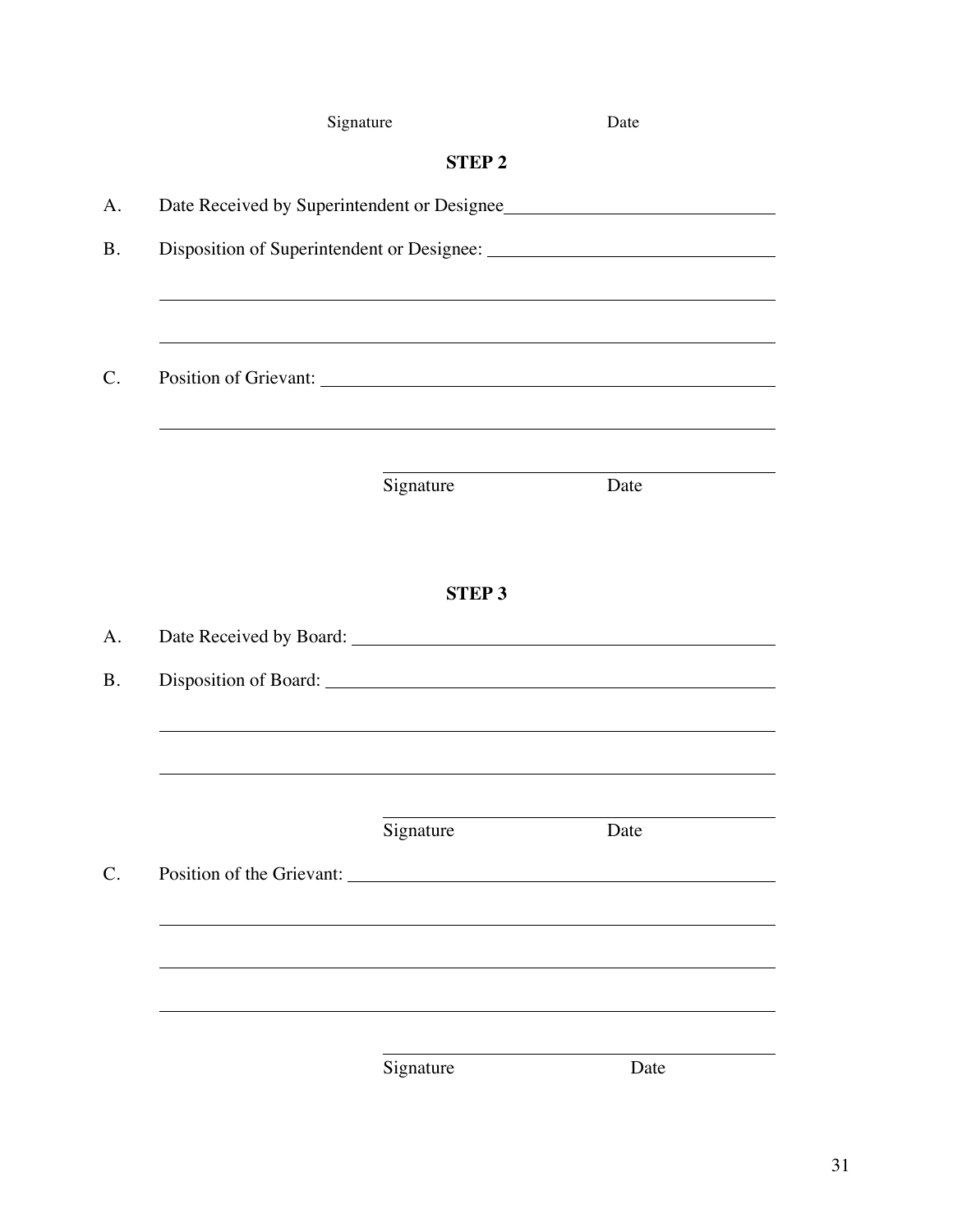| Signature                                   |              | Date |
|---------------------------------------------|--------------|------|
|                                             | <b>STEP2</b> |      |
| Date Received by Superintendent or Designee |              |      |
|                                             |              |      |
|                                             |              |      |
|                                             |              |      |
|                                             |              |      |
|                                             |              |      |
|                                             | Signature    | Date |
|                                             |              |      |
|                                             |              |      |
|                                             | <b>STEP3</b> |      |
|                                             |              |      |
|                                             |              |      |
|                                             |              |      |
|                                             |              |      |
|                                             | Signature    | Date |
| Position of the Grievant: New York 1988     |              |      |
|                                             |              |      |
|                                             |              |      |
|                                             |              |      |
|                                             |              |      |
|                                             | Signature    | Date |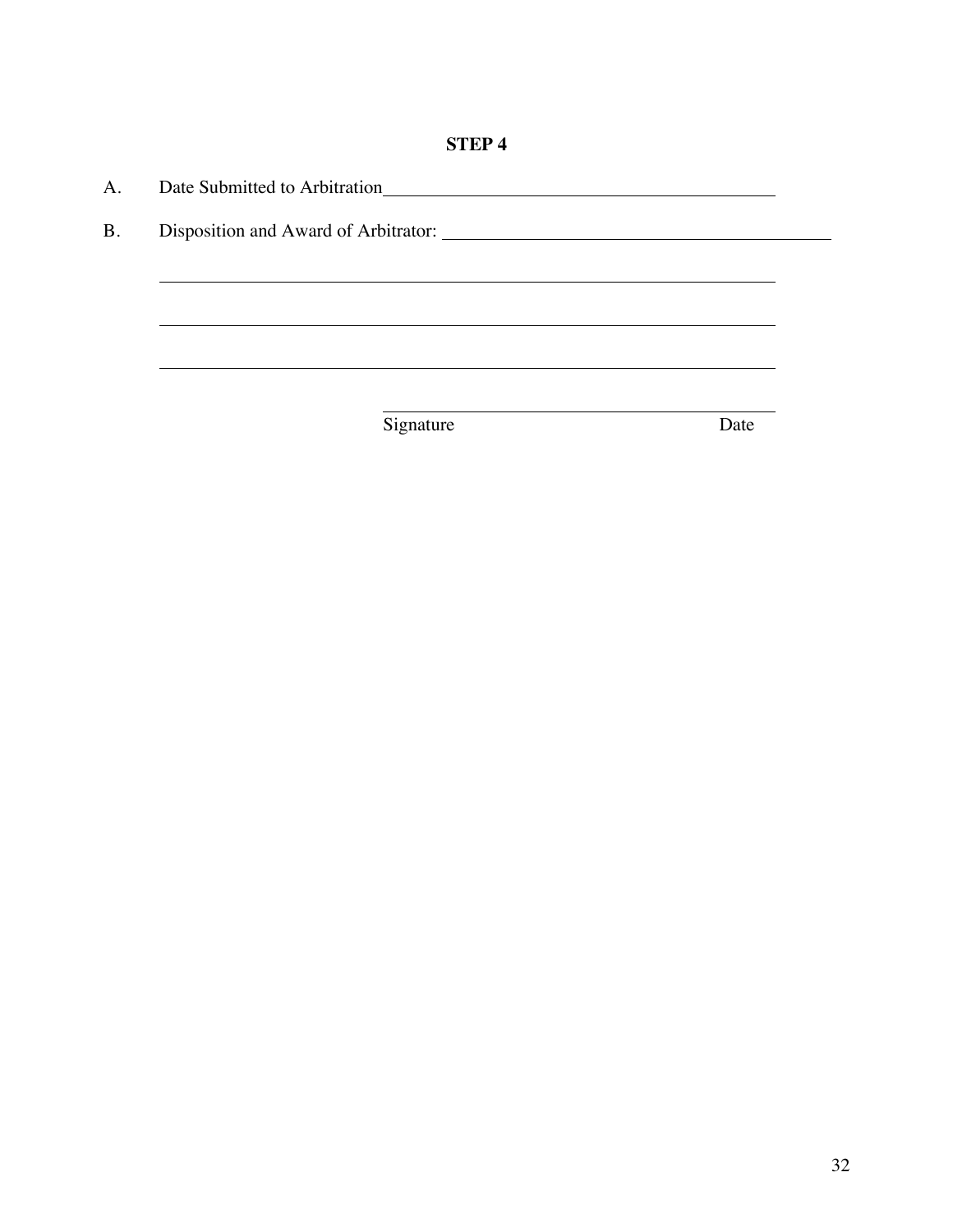# **STEP 4**

| A.        | Date Submitted to Arbitration |      |  |
|-----------|-------------------------------|------|--|
| <b>B.</b> |                               |      |  |
|           |                               |      |  |
|           |                               |      |  |
|           |                               |      |  |
|           |                               |      |  |
|           | Signature                     | Date |  |